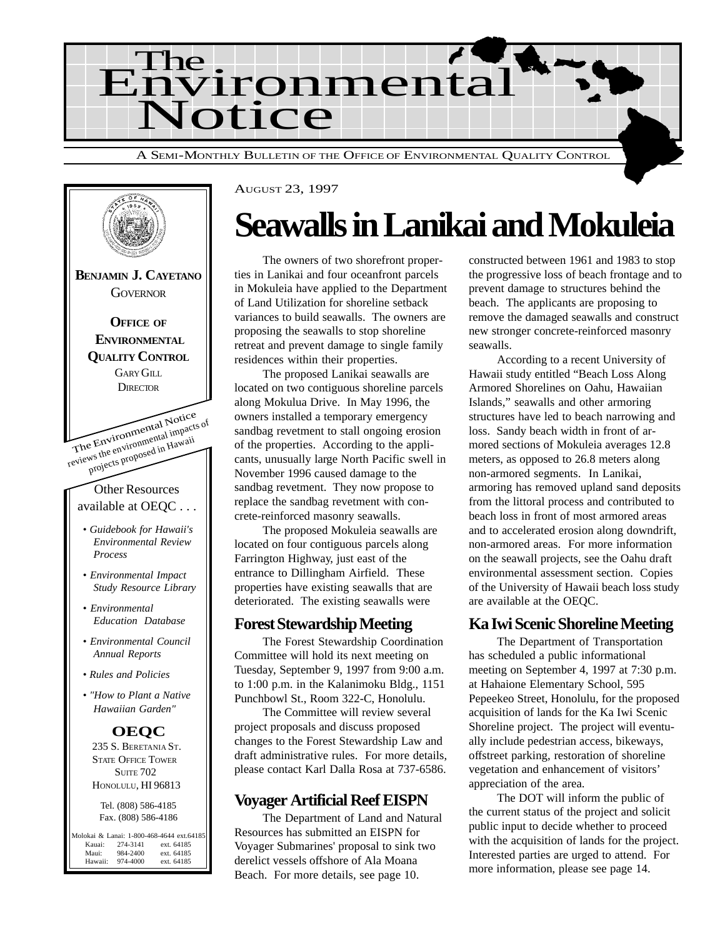



#### AUGUST 23, 1997

# **Seawalls in Lanikai and Mokuleia**

The owners of two shorefront properties in Lanikai and four oceanfront parcels in Mokuleia have applied to the Department of Land Utilization for shoreline setback variances to build seawalls. The owners are proposing the seawalls to stop shoreline retreat and prevent damage to single family residences within their properties.

The proposed Lanikai seawalls are located on two contiguous shoreline parcels along Mokulua Drive. In May 1996, the owners installed a temporary emergency sandbag revetment to stall ongoing erosion of the properties. According to the applicants, unusually large North Pacific swell in November 1996 caused damage to the sandbag revetment. They now propose to replace the sandbag revetment with concrete-reinforced masonry seawalls.

The proposed Mokuleia seawalls are located on four contiguous parcels along Farrington Highway, just east of the entrance to Dillingham Airfield. These properties have existing seawalls that are deteriorated. The existing seawalls were

#### **Forest Stewardship Meeting**

The Forest Stewardship Coordination Committee will hold its next meeting on Tuesday, September 9, 1997 from 9:00 a.m. to 1:00 p.m. in the Kalanimoku Bldg., 1151 Punchbowl St., Room 322-C, Honolulu.

The Committee will review several project proposals and discuss proposed changes to the Forest Stewardship Law and draft administrative rules. For more details, please contact Karl Dalla Rosa at 737-6586.

#### **Voyager Artificial Reef EISPN**

The Department of Land and Natural Resources has submitted an EISPN for Voyager Submarines' proposal to sink two derelict vessels offshore of Ala Moana Beach. For more details, see page 10.

constructed between 1961 and 1983 to stop the progressive loss of beach frontage and to prevent damage to structures behind the beach. The applicants are proposing to remove the damaged seawalls and construct new stronger concrete-reinforced masonry seawalls.

According to a recent University of Hawaii study entitled "Beach Loss Along Armored Shorelines on Oahu, Hawaiian Islands," seawalls and other armoring structures have led to beach narrowing and loss. Sandy beach width in front of armored sections of Mokuleia averages 12.8 meters, as opposed to 26.8 meters along non-armored segments. In Lanikai, armoring has removed upland sand deposits from the littoral process and contributed to beach loss in front of most armored areas and to accelerated erosion along downdrift, non-armored areas. For more information on the seawall projects, see the Oahu draft environmental assessment section. Copies of the University of Hawaii beach loss study are available at the OEQC.

#### **Ka Iwi Scenic Shoreline Meeting**

The Department of Transportation has scheduled a public informational meeting on September 4, 1997 at 7:30 p.m. at Hahaione Elementary School, 595 Pepeekeo Street, Honolulu, for the proposed acquisition of lands for the Ka Iwi Scenic Shoreline project. The project will eventually include pedestrian access, bikeways, offstreet parking, restoration of shoreline vegetation and enhancement of visitors' appreciation of the area.

The DOT will inform the public of the current status of the project and solicit public input to decide whether to proceed with the acquisition of lands for the project. Interested parties are urged to attend. For more information, please see page 14.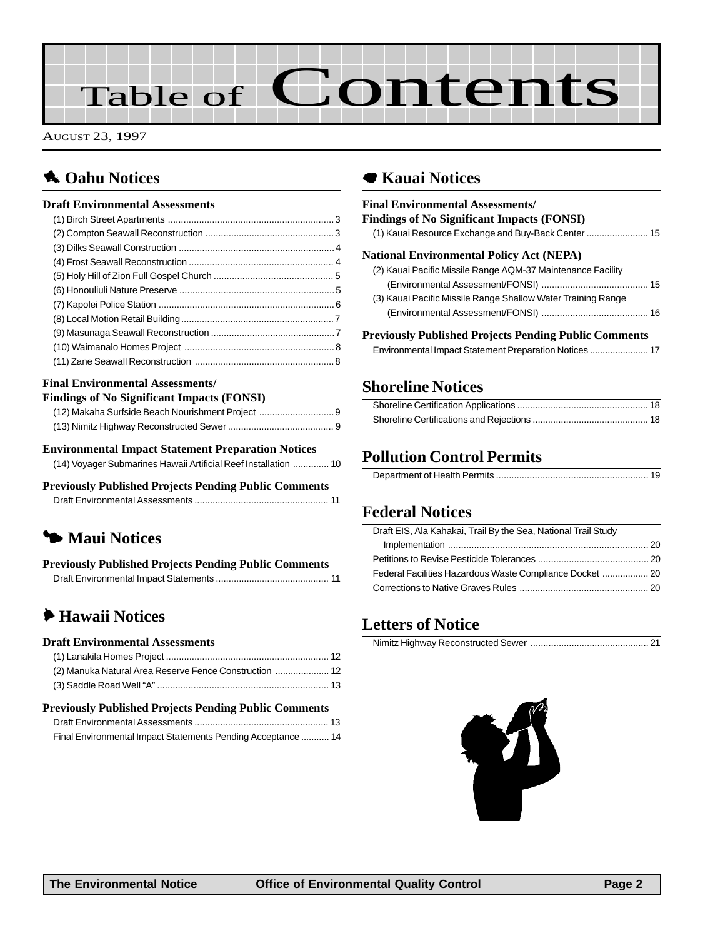# Table of Contents

AUGUST 23, 1997

## **1** Oahu Notices

#### **Draft Environmental Assessments**

#### **Final Environmental Assessments/**

#### **Findings of No Significant Impacts (FONSI)**

| (12) Makaha Surfside Beach Nourishment Project |  |
|------------------------------------------------|--|
|                                                |  |

#### **Environmental Impact Statement Preparation Notices**

| (14) Voyager Submarines Hawaii Artificial Reef Installation  10 |  |
|-----------------------------------------------------------------|--|
|                                                                 |  |

#### **Previously Published Projects Pending Public Comments**

|--|--|

## 3 **Maui Notices**

| <b>Previously Published Projects Pending Public Comments</b> |  |
|--------------------------------------------------------------|--|
|                                                              |  |

## 6 **Hawaii Notices**

#### **Draft Environmental Assessments**

| (2) Manuka Natural Area Reserve Fence Construction  12 |  |
|--------------------------------------------------------|--|
|                                                        |  |

#### **Previously Published Projects Pending Public Comments** [Draft Environmental Assessments .................................................... 13](#page-12-0)

| Final Environmental Impact Statements Pending Acceptance  14 |  |
|--------------------------------------------------------------|--|

### 7 **Kauai Notices**

| <b>Final Environmental Assessments/</b><br><b>Findings of No Significant Impacts (FONSI)</b> |
|----------------------------------------------------------------------------------------------|
|                                                                                              |
| <b>National Environmental Policy Act (NEPA)</b>                                              |
| (2) Kauai Pacific Missile Range AQM-37 Maintenance Facility                                  |
|                                                                                              |
| (3) Kauai Pacific Missile Range Shallow Water Training Range                                 |
|                                                                                              |
| <b>Previously Published Projects Pending Public Comments</b>                                 |
|                                                                                              |

#### **[Shoreline Notices](#page-17-0)**

#### **Pollution Control Permits**

|--|

#### **Federal Notices**

| Draft EIS, Ala Kahakai, Trail By the Sea, National Trail Study |  |
|----------------------------------------------------------------|--|
|                                                                |  |
|                                                                |  |
| Federal Facilities Hazardous Waste Compliance Docket  20       |  |
|                                                                |  |

#### **Letters of Notice**

|--|--|

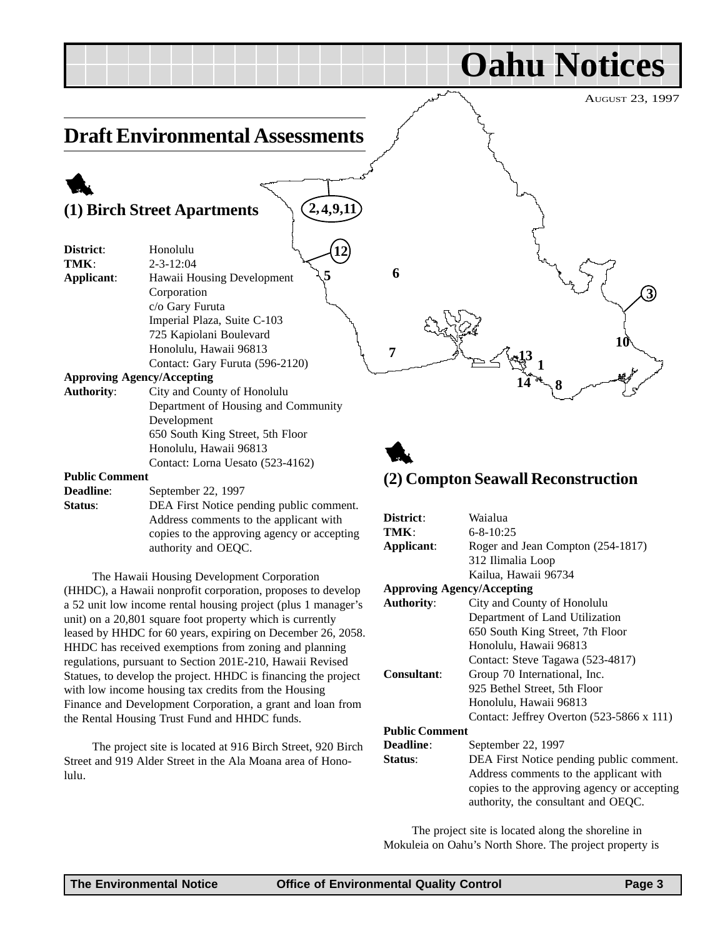<span id="page-2-0"></span>

**Status**: DEA First Notice pending public comment. Address comments to the applicant with copies to the approving agency or accepting authority and OEQC.

The Hawaii Housing Development Corporation (HHDC), a Hawaii nonprofit corporation, proposes to develop a 52 unit low income rental housing project (plus 1 manager's unit) on a 20,801 square foot property which is currently leased by HHDC for 60 years, expiring on December 26, 2058. HHDC has received exemptions from zoning and planning regulations, pursuant to Section 201E-210, Hawaii Revised Statues, to develop the project. HHDC is financing the project with low income housing tax credits from the Housing Finance and Development Corporation, a grant and loan from the Rental Housing Trust Fund and HHDC funds.

The project site is located at 916 Birch Street, 920 Birch Street and 919 Alder Street in the Ala Moana area of Honolulu.

| District:                         | Waialua                                                                            |
|-----------------------------------|------------------------------------------------------------------------------------|
| TMK:                              | $6 - 8 - 10:25$                                                                    |
| Applicant:                        | Roger and Jean Compton (254-1817)                                                  |
|                                   | 312 Ilimalia Loop                                                                  |
|                                   | Kailua, Hawaii 96734                                                               |
| <b>Approving Agency/Accepting</b> |                                                                                    |
| <b>Authority:</b>                 | City and County of Honolulu                                                        |
|                                   | Department of Land Utilization                                                     |
|                                   | 650 South King Street, 7th Floor                                                   |
|                                   | Honolulu, Hawaii 96813                                                             |
|                                   | Contact: Steve Tagawa (523-4817)                                                   |
| Consultant:                       | Group 70 International, Inc.                                                       |
|                                   | 925 Bethel Street, 5th Floor                                                       |
|                                   | Honolulu, Hawaii 96813                                                             |
|                                   | Contact: Jeffrey Overton $(523-5866 \times 111)$                                   |
| <b>Public Comment</b>             |                                                                                    |
| <b>Deadline:</b>                  | September 22, 1997                                                                 |
| Status:                           | DEA First Notice pending public comment.                                           |
|                                   | Address comments to the applicant with                                             |
|                                   | copies to the approving agency or accepting<br>authority, the consultant and OEQC. |

The project site is located along the shoreline in Mokuleia on Oahu's North Shore. The project property is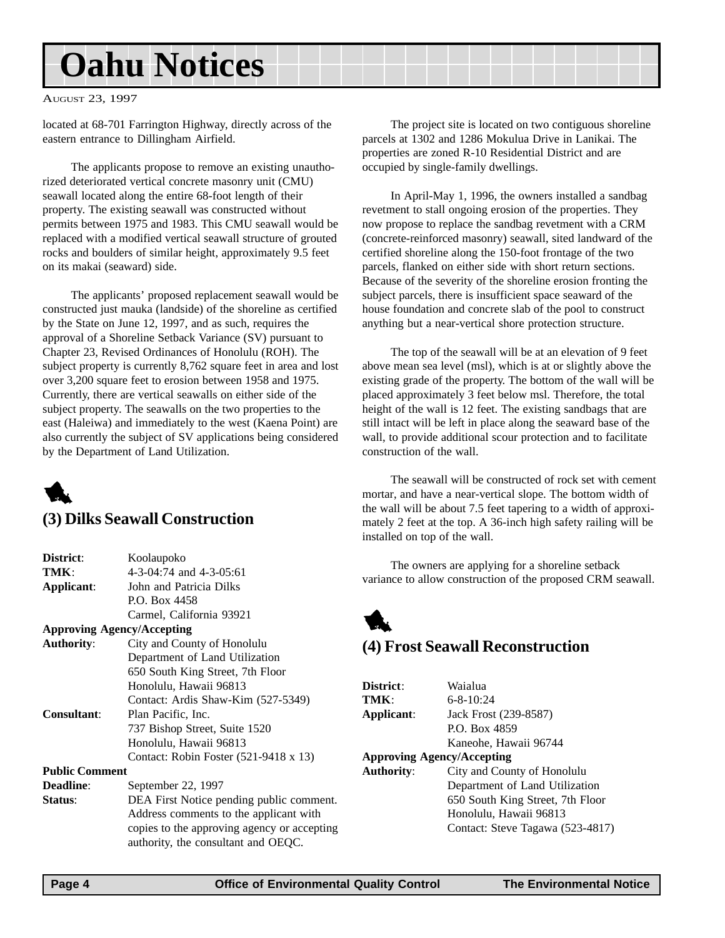#### <span id="page-3-0"></span>AUGUST 23, 1997

located at 68-701 Farrington Highway, directly across of the eastern entrance to Dillingham Airfield.

The applicants propose to remove an existing unauthorized deteriorated vertical concrete masonry unit (CMU) seawall located along the entire 68-foot length of their property. The existing seawall was constructed without permits between 1975 and 1983. This CMU seawall would be replaced with a modified vertical seawall structure of grouted rocks and boulders of similar height, approximately 9.5 feet on its makai (seaward) side.

The applicants' proposed replacement seawall would be constructed just mauka (landside) of the shoreline as certified by the State on June 12, 1997, and as such, requires the approval of a Shoreline Setback Variance (SV) pursuant to Chapter 23, Revised Ordinances of Honolulu (ROH). The subject property is currently 8,762 square feet in area and lost over 3,200 square feet to erosion between 1958 and 1975. Currently, there are vertical seawalls on either side of the subject property. The seawalls on the two properties to the east (Haleiwa) and immediately to the west (Kaena Point) are also currently the subject of SV applications being considered by the Department of Land Utilization.



#### **(3) Dilks Seawall Construction**

| District:                         | Koolaupoko                                   |
|-----------------------------------|----------------------------------------------|
| TMK:                              | 4-3-04:74 and 4-3-05:61                      |
| Applicant:                        | John and Patricia Dilks                      |
|                                   | P.O. Box 4458                                |
|                                   | Carmel, California 93921                     |
| <b>Approving Agency/Accepting</b> |                                              |
| <b>Authority:</b>                 | City and County of Honolulu                  |
|                                   | Department of Land Utilization               |
|                                   | 650 South King Street, 7th Floor             |
|                                   | Honolulu, Hawaii 96813                       |
|                                   | Contact: Ardis Shaw-Kim (527-5349)           |
| <b>Consultant:</b>                | Plan Pacific, Inc.                           |
|                                   | 737 Bishop Street, Suite 1520                |
|                                   | Honolulu, Hawaii 96813                       |
|                                   | Contact: Robin Foster $(521-9418 \times 13)$ |
| <b>Public Comment</b>             |                                              |
| <b>Deadline:</b>                  | September 22, 1997                           |
| Status:                           | DEA First Notice pending public comment.     |
|                                   | Address comments to the applicant with       |
|                                   | copies to the approving agency or accepting  |
|                                   | authority, the consultant and OEQC.          |

The project site is located on two contiguous shoreline parcels at 1302 and 1286 Mokulua Drive in Lanikai. The properties are zoned R-10 Residential District and are occupied by single-family dwellings.

In April-May 1, 1996, the owners installed a sandbag revetment to stall ongoing erosion of the properties. They now propose to replace the sandbag revetment with a CRM (concrete-reinforced masonry) seawall, sited landward of the certified shoreline along the 150-foot frontage of the two parcels, flanked on either side with short return sections. Because of the severity of the shoreline erosion fronting the subject parcels, there is insufficient space seaward of the house foundation and concrete slab of the pool to construct anything but a near-vertical shore protection structure.

The top of the seawall will be at an elevation of 9 feet above mean sea level (msl), which is at or slightly above the existing grade of the property. The bottom of the wall will be placed approximately 3 feet below msl. Therefore, the total height of the wall is 12 feet. The existing sandbags that are still intact will be left in place along the seaward base of the wall, to provide additional scour protection and to facilitate construction of the wall.

The seawall will be constructed of rock set with cement mortar, and have a near-vertical slope. The bottom width of the wall will be about 7.5 feet tapering to a width of approximately 2 feet at the top. A 36-inch high safety railing will be installed on top of the wall.

The owners are applying for a shoreline setback variance to allow construction of the proposed CRM seawall.



#### **(4) Frost Seawall Reconstruction**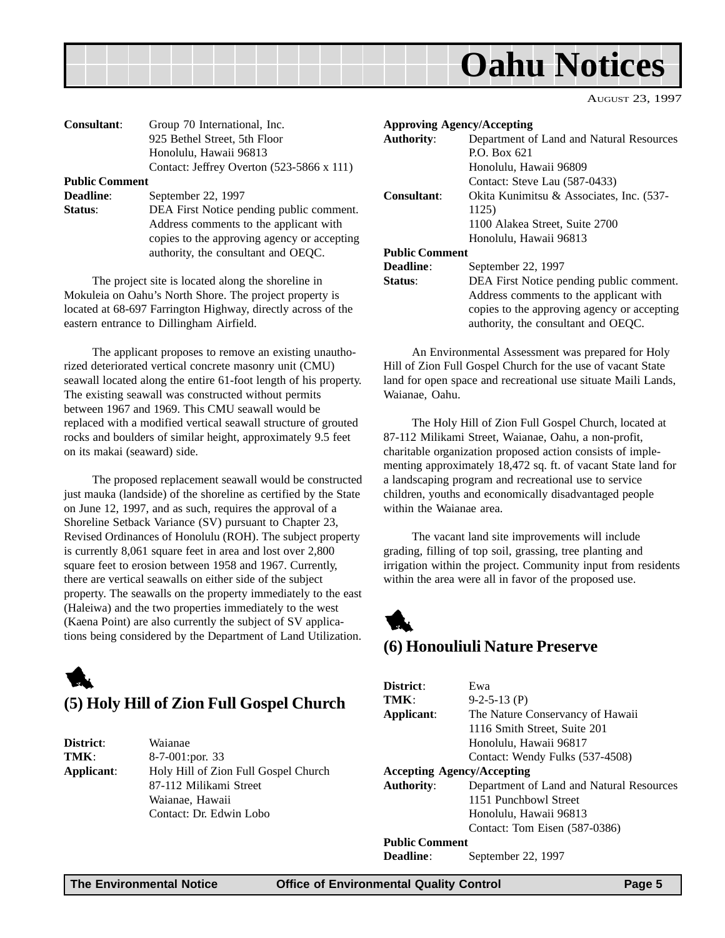<span id="page-4-0"></span>

AUGUST 23, 1997

| <b>Consultant:</b>    | Group 70 International, Inc.                     |
|-----------------------|--------------------------------------------------|
|                       | 925 Bethel Street, 5th Floor                     |
|                       | Honolulu, Hawaii 96813                           |
|                       | Contact: Jeffrey Overton $(523-5866 \times 111)$ |
| <b>Public Comment</b> |                                                  |
| <b>Deadline:</b>      | September 22, 1997                               |
| Status <sup>.</sup>   | DEA First Notice pending public comment          |

| Status: | DEA First Notice pending public comment.    |
|---------|---------------------------------------------|
|         | Address comments to the applicant with      |
|         | copies to the approving agency or accepting |
|         | authority, the consultant and OEOC.         |

The project site is located along the shoreline in Mokuleia on Oahu's North Shore. The project property is located at 68-697 Farrington Highway, directly across of the eastern entrance to Dillingham Airfield.

The applicant proposes to remove an existing unauthorized deteriorated vertical concrete masonry unit (CMU) seawall located along the entire 61-foot length of his property. The existing seawall was constructed without permits between 1967 and 1969. This CMU seawall would be replaced with a modified vertical seawall structure of grouted rocks and boulders of similar height, approximately 9.5 feet on its makai (seaward) side.

The proposed replacement seawall would be constructed just mauka (landside) of the shoreline as certified by the State on June 12, 1997, and as such, requires the approval of a Shoreline Setback Variance (SV) pursuant to Chapter 23, Revised Ordinances of Honolulu (ROH). The subject property is currently 8,061 square feet in area and lost over 2,800 square feet to erosion between 1958 and 1967. Currently, there are vertical seawalls on either side of the subject property. The seawalls on the property immediately to the east (Haleiwa) and the two properties immediately to the west (Kaena Point) are also currently the subject of SV applications being considered by the Department of Land Utilization.



#### **(5) Holy Hill of Zion Full Gospel Church**

| District:  |
|------------|
| TMK:       |
| Applicant: |

**District**: Waianae **TMK**: 8-7-001:por. 33 **Applicant**: Holy Hill of Zion Full Gospel Church 87-112 Milikami Street Waianae, Hawaii Contact: Dr. Edwin Lobo

| <b>Approving Agency/Accepting</b> |                                             |
|-----------------------------------|---------------------------------------------|
| <b>Authority:</b>                 | Department of Land and Natural Resources    |
|                                   | P.O. Box 621                                |
|                                   | Honolulu, Hawaii 96809                      |
|                                   | Contact: Steve Lau (587-0433)               |
| Consultant:                       | Okita Kunimitsu & Associates, Inc. (537-    |
|                                   | 1125)                                       |
|                                   | 1100 Alakea Street, Suite 2700              |
|                                   | Honolulu, Hawaii 96813                      |
| <b>Public Comment</b>             |                                             |
| <b>Deadline:</b>                  | September 22, 1997                          |
| Status:                           | DEA First Notice pending public comment.    |
|                                   | Address comments to the applicant with      |
|                                   | copies to the approving agency or accepting |
|                                   | authority, the consultant and OEQC.         |

An Environmental Assessment was prepared for Holy Hill of Zion Full Gospel Church for the use of vacant State land for open space and recreational use situate Maili Lands, Waianae, Oahu.

The Holy Hill of Zion Full Gospel Church, located at 87-112 Milikami Street, Waianae, Oahu, a non-profit, charitable organization proposed action consists of implementing approximately 18,472 sq. ft. of vacant State land for a landscaping program and recreational use to service children, youths and economically disadvantaged people within the Waianae area.

The vacant land site improvements will include grading, filling of top soil, grassing, tree planting and irrigation within the project. Community input from residents within the area were all in favor of the proposed use.

## 1 **(6) Honouliuli Nature Preserve**

| District:                         | Ewa                                      |
|-----------------------------------|------------------------------------------|
| TMK:                              | $9-2-5-13$ (P)                           |
| Applicant:                        | The Nature Conservancy of Hawaii         |
|                                   | 1116 Smith Street, Suite 201             |
|                                   | Honolulu, Hawaii 96817                   |
|                                   | Contact: Wendy Fulks (537-4508)          |
| <b>Accepting Agency/Accepting</b> |                                          |
| Authority:                        | Department of Land and Natural Resources |
|                                   | 1151 Punchbowl Street                    |
|                                   | Honolulu, Hawaii 96813                   |
|                                   | Contact: Tom Eisen (587-0386)            |
| <b>Public Comment</b>             |                                          |
| $- - -$                           |                                          |

**Deadline**: September 22, 1997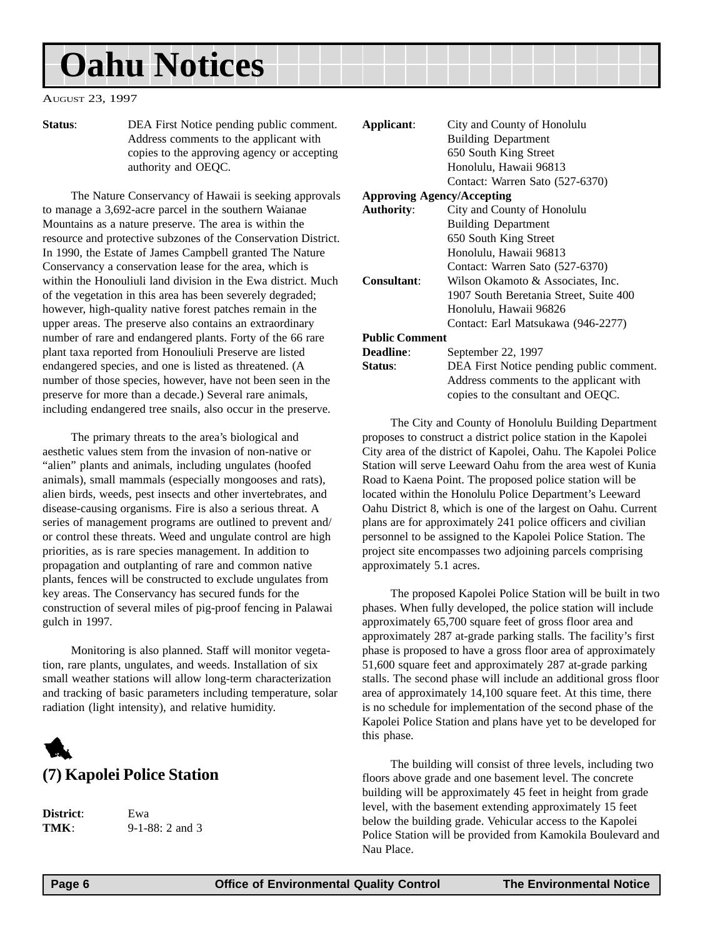<span id="page-5-0"></span>AUGUST 23, 1997

**Status**: DEA First Notice pending public comment. Address comments to the applicant with copies to the approving agency or accepting authority and OEQC.

The Nature Conservancy of Hawaii is seeking approvals to manage a 3,692-acre parcel in the southern Waianae Mountains as a nature preserve. The area is within the resource and protective subzones of the Conservation District. In 1990, the Estate of James Campbell granted The Nature Conservancy a conservation lease for the area, which is within the Honouliuli land division in the Ewa district. Much of the vegetation in this area has been severely degraded; however, high-quality native forest patches remain in the upper areas. The preserve also contains an extraordinary number of rare and endangered plants. Forty of the 66 rare plant taxa reported from Honouliuli Preserve are listed endangered species, and one is listed as threatened. (A number of those species, however, have not been seen in the preserve for more than a decade.) Several rare animals, including endangered tree snails, also occur in the preserve.

The primary threats to the area's biological and aesthetic values stem from the invasion of non-native or "alien" plants and animals, including ungulates (hoofed animals), small mammals (especially mongooses and rats), alien birds, weeds, pest insects and other invertebrates, and disease-causing organisms. Fire is also a serious threat. A series of management programs are outlined to prevent and/ or control these threats. Weed and ungulate control are high priorities, as is rare species management. In addition to propagation and outplanting of rare and common native plants, fences will be constructed to exclude ungulates from key areas. The Conservancy has secured funds for the construction of several miles of pig-proof fencing in Palawai gulch in 1997.

Monitoring is also planned. Staff will monitor vegetation, rare plants, ungulates, and weeds. Installation of six small weather stations will allow long-term characterization and tracking of basic parameters including temperature, solar radiation (light intensity), and relative humidity.



**District**: Ewa

**TMK**: 9-1-88: 2 and 3

| Applicant:            | City and County of Honolulu              |
|-----------------------|------------------------------------------|
|                       | <b>Building Department</b>               |
|                       | 650 South King Street                    |
|                       | Honolulu, Hawaii 96813                   |
|                       | Contact: Warren Sato (527-6370)          |
|                       | <b>Approving Agency/Accepting</b>        |
| <b>Authority:</b>     | City and County of Honolulu              |
|                       | <b>Building Department</b>               |
|                       | 650 South King Street                    |
|                       | Honolulu, Hawaii 96813                   |
|                       | Contact: Warren Sato (527-6370)          |
| Consultant:           | Wilson Okamoto & Associates, Inc.        |
|                       | 1907 South Beretania Street, Suite 400   |
|                       | Honolulu, Hawaii 96826                   |
|                       | Contact: Earl Matsukawa (946-2277)       |
| <b>Public Comment</b> |                                          |
| Deadline:             | September 22, 1997                       |
| Status:               | DEA First Notice pending public comment. |
|                       | Address comments to the applicant with   |
|                       | copies to the consultant and OEQC.       |

The City and County of Honolulu Building Department proposes to construct a district police station in the Kapolei City area of the district of Kapolei, Oahu. The Kapolei Police Station will serve Leeward Oahu from the area west of Kunia Road to Kaena Point. The proposed police station will be located within the Honolulu Police Department's Leeward Oahu District 8, which is one of the largest on Oahu. Current plans are for approximately 241 police officers and civilian personnel to be assigned to the Kapolei Police Station. The project site encompasses two adjoining parcels comprising approximately 5.1 acres.

The proposed Kapolei Police Station will be built in two phases. When fully developed, the police station will include approximately 65,700 square feet of gross floor area and approximately 287 at-grade parking stalls. The facility's first phase is proposed to have a gross floor area of approximately 51,600 square feet and approximately 287 at-grade parking stalls. The second phase will include an additional gross floor area of approximately 14,100 square feet. At this time, there is no schedule for implementation of the second phase of the Kapolei Police Station and plans have yet to be developed for this phase.

The building will consist of three levels, including two floors above grade and one basement level. The concrete building will be approximately 45 feet in height from grade level, with the basement extending approximately 15 feet below the building grade. Vehicular access to the Kapolei Police Station will be provided from Kamokila Boulevard and Nau Place.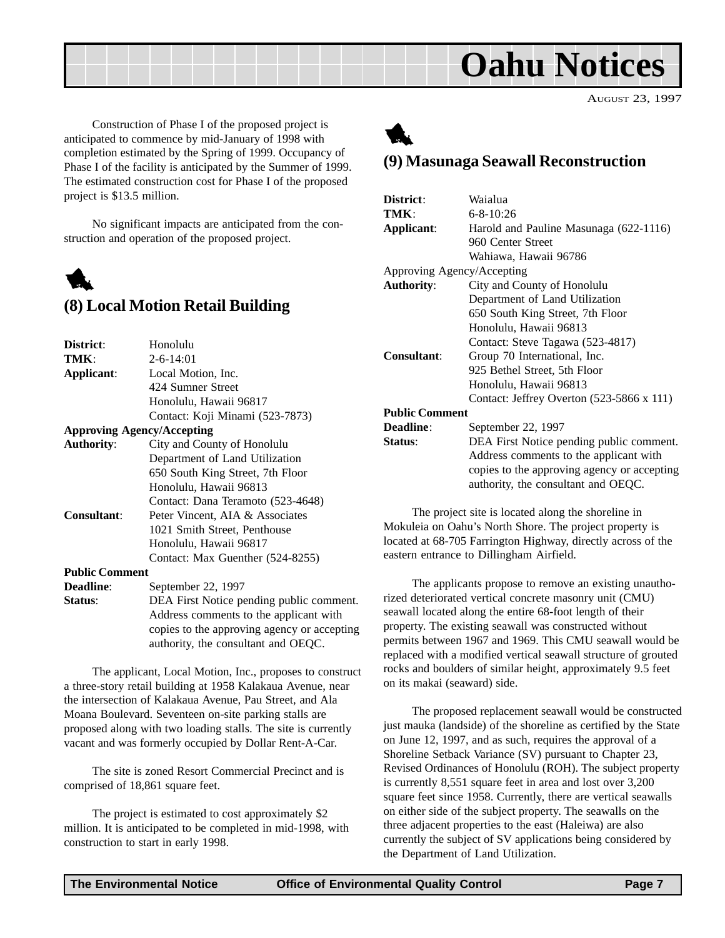<span id="page-6-0"></span>

AUGUST 23, 1997

Construction of Phase I of the proposed project is anticipated to commence by mid-January of 1998 with completion estimated by the Spring of 1999. Occupancy of Phase I of the facility is anticipated by the Summer of 1999. The estimated construction cost for Phase I of the proposed project is \$13.5 million.

No significant impacts are anticipated from the construction and operation of the proposed project.



#### **(8) Local Motion Retail Building**

| District:             | Honolulu                                    |
|-----------------------|---------------------------------------------|
| TMK:                  | $2 - 6 - 14:01$                             |
| Applicant:            | Local Motion, Inc.                          |
|                       | 424 Sumner Street                           |
|                       | Honolulu, Hawaii 96817                      |
|                       | Contact: Koji Minami (523-7873)             |
|                       | <b>Approving Agency/Accepting</b>           |
| <b>Authority:</b>     | City and County of Honolulu                 |
|                       | Department of Land Utilization              |
|                       | 650 South King Street, 7th Floor            |
|                       | Honolulu, Hawaii 96813                      |
|                       | Contact: Dana Teramoto (523-4648)           |
| <b>Consultant:</b>    | Peter Vincent, AIA & Associates             |
|                       | 1021 Smith Street, Penthouse                |
|                       | Honolulu, Hawaii 96817                      |
|                       | Contact: Max Guenther (524-8255)            |
| <b>Public Comment</b> |                                             |
| <b>Deadline:</b>      | September 22, 1997                          |
| Status:               | DEA First Notice pending public comment.    |
|                       | Address comments to the applicant with      |
|                       | copies to the approving agency or accepting |

The applicant, Local Motion, Inc., proposes to construct a three-story retail building at 1958 Kalakaua Avenue, near the intersection of Kalakaua Avenue, Pau Street, and Ala Moana Boulevard. Seventeen on-site parking stalls are proposed along with two loading stalls. The site is currently vacant and was formerly occupied by Dollar Rent-A-Car.

authority, the consultant and OEQC.

The site is zoned Resort Commercial Precinct and is comprised of 18,861 square feet.

The project is estimated to cost approximately \$2 million. It is anticipated to be completed in mid-1998, with construction to start in early 1998.

# 1

#### **(9) Masunaga Seawall Reconstruction**

| District:                  | Waialua                                          |
|----------------------------|--------------------------------------------------|
| TMK:                       | $6 - 8 - 10:26$                                  |
| Applicant:                 | Harold and Pauline Masunaga (622-1116)           |
|                            | 960 Center Street                                |
|                            | Wahiawa, Hawaii 96786                            |
| Approving Agency/Accepting |                                                  |
| <b>Authority:</b>          | City and County of Honolulu                      |
|                            | Department of Land Utilization                   |
|                            | 650 South King Street, 7th Floor                 |
|                            | Honolulu, Hawaii 96813                           |
|                            | Contact: Steve Tagawa (523-4817)                 |
| Consultant:                | Group 70 International, Inc.                     |
|                            | 925 Bethel Street, 5th Floor                     |
|                            | Honolulu, Hawaii 96813                           |
|                            | Contact: Jeffrey Overton $(523-5866 \times 111)$ |
| <b>Public Comment</b>      |                                                  |
| <b>Deadline:</b>           | September 22, 1997                               |
| Status:                    | DEA First Notice pending public comment.         |
|                            | Address comments to the applicant with           |
|                            | copies to the approving agency or accepting      |
|                            | authority, the consultant and OEQC.              |
|                            |                                                  |

The project site is located along the shoreline in Mokuleia on Oahu's North Shore. The project property is located at 68-705 Farrington Highway, directly across of the eastern entrance to Dillingham Airfield.

The applicants propose to remove an existing unauthorized deteriorated vertical concrete masonry unit (CMU) seawall located along the entire 68-foot length of their property. The existing seawall was constructed without permits between 1967 and 1969. This CMU seawall would be replaced with a modified vertical seawall structure of grouted rocks and boulders of similar height, approximately 9.5 feet on its makai (seaward) side.

The proposed replacement seawall would be constructed just mauka (landside) of the shoreline as certified by the State on June 12, 1997, and as such, requires the approval of a Shoreline Setback Variance (SV) pursuant to Chapter 23, Revised Ordinances of Honolulu (ROH). The subject property is currently 8,551 square feet in area and lost over 3,200 square feet since 1958. Currently, there are vertical seawalls on either side of the subject property. The seawalls on the three adjacent properties to the east (Haleiwa) are also currently the subject of SV applications being considered by the Department of Land Utilization.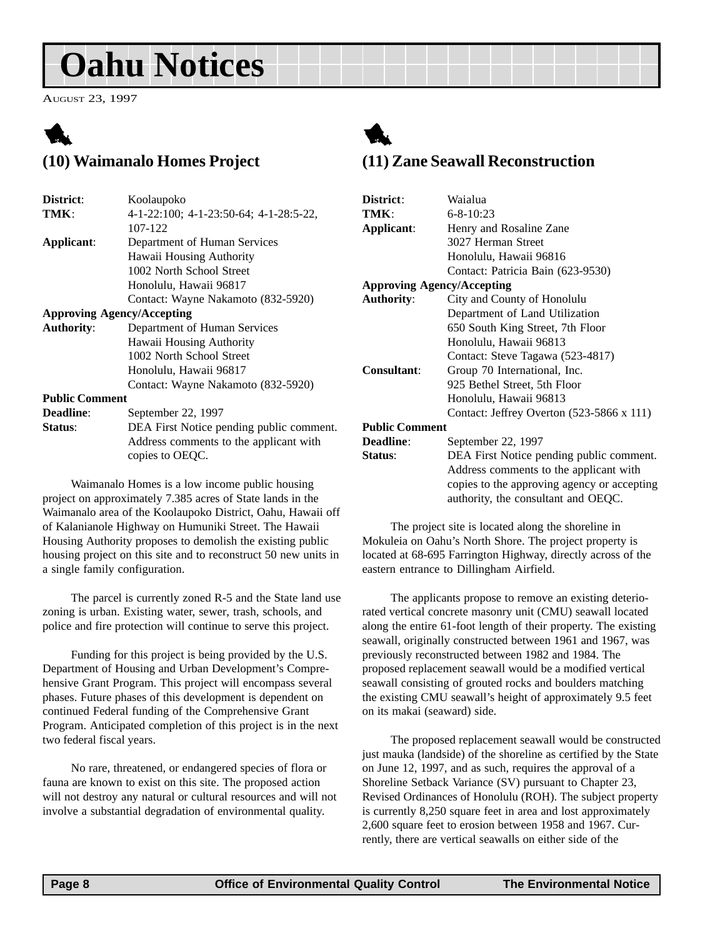<span id="page-7-0"></span>AUGUST 23, 1997

## 1 **(10) Waimanalo Homes Project**

| District:                         | Koolaupoko                               |
|-----------------------------------|------------------------------------------|
| TMK:                              | 4-1-22:100; 4-1-23:50-64; 4-1-28:5-22,   |
|                                   | 107-122                                  |
| Applicant:                        | Department of Human Services             |
|                                   | Hawaii Housing Authority                 |
|                                   | 1002 North School Street                 |
|                                   | Honolulu, Hawaii 96817                   |
|                                   | Contact: Wayne Nakamoto (832-5920)       |
| <b>Approving Agency/Accepting</b> |                                          |
| <b>Authority:</b>                 | Department of Human Services             |
|                                   | Hawaii Housing Authority                 |
|                                   | 1002 North School Street                 |
|                                   | Honolulu, Hawaii 96817                   |
|                                   | Contact: Wayne Nakamoto (832-5920)       |
| <b>Public Comment</b>             |                                          |
| <b>Deadline:</b>                  | September 22, 1997                       |
| Status:                           | DEA First Notice pending public comment. |
|                                   | Address comments to the applicant with   |
|                                   | copies to OEOC.                          |

Waimanalo Homes is a low income public housing project on approximately 7.385 acres of State lands in the Waimanalo area of the Koolaupoko District, Oahu, Hawaii off of Kalanianole Highway on Humuniki Street. The Hawaii Housing Authority proposes to demolish the existing public housing project on this site and to reconstruct 50 new units in a single family configuration.

The parcel is currently zoned R-5 and the State land use zoning is urban. Existing water, sewer, trash, schools, and police and fire protection will continue to serve this project.

Funding for this project is being provided by the U.S. Department of Housing and Urban Development's Comprehensive Grant Program. This project will encompass several phases. Future phases of this development is dependent on continued Federal funding of the Comprehensive Grant Program. Anticipated completion of this project is in the next two federal fiscal years.

No rare, threatened, or endangered species of flora or fauna are known to exist on this site. The proposed action will not destroy any natural or cultural resources and will not involve a substantial degradation of environmental quality.

## 1 **(11) Zane Seawall Reconstruction**

| District:                         | Waialua                                     |
|-----------------------------------|---------------------------------------------|
| TMK:                              | $6 - 8 - 10:23$                             |
| Applicant:                        | Henry and Rosaline Zane                     |
|                                   | 3027 Herman Street                          |
|                                   | Honolulu, Hawaii 96816                      |
|                                   | Contact: Patricia Bain (623-9530)           |
| <b>Approving Agency/Accepting</b> |                                             |
| <b>Authority:</b>                 | City and County of Honolulu                 |
|                                   | Department of Land Utilization              |
|                                   | 650 South King Street, 7th Floor            |
|                                   | Honolulu, Hawaii 96813                      |
|                                   | Contact: Steve Tagawa (523-4817)            |
| Consultant:                       | Group 70 International, Inc.                |
|                                   | 925 Bethel Street, 5th Floor                |
|                                   | Honolulu, Hawaii 96813                      |
|                                   | Contact: Jeffrey Overton (523-5866 x 111)   |
| <b>Public Comment</b>             |                                             |
| Deadline:                         | September 22, 1997                          |
| Status:                           | DEA First Notice pending public comment.    |
|                                   | Address comments to the applicant with      |
|                                   | copies to the approving agency or accepting |
|                                   | authority, the consultant and OEQC.         |
|                                   |                                             |

The project site is located along the shoreline in Mokuleia on Oahu's North Shore. The project property is located at 68-695 Farrington Highway, directly across of the eastern entrance to Dillingham Airfield.

The applicants propose to remove an existing deteriorated vertical concrete masonry unit (CMU) seawall located along the entire 61-foot length of their property. The existing seawall, originally constructed between 1961 and 1967, was previously reconstructed between 1982 and 1984. The proposed replacement seawall would be a modified vertical seawall consisting of grouted rocks and boulders matching the existing CMU seawall's height of approximately 9.5 feet on its makai (seaward) side.

The proposed replacement seawall would be constructed just mauka (landside) of the shoreline as certified by the State on June 12, 1997, and as such, requires the approval of a Shoreline Setback Variance (SV) pursuant to Chapter 23, Revised Ordinances of Honolulu (ROH). The subject property is currently 8,250 square feet in area and lost approximately 2,600 square feet to erosion between 1958 and 1967. Currently, there are vertical seawalls on either side of the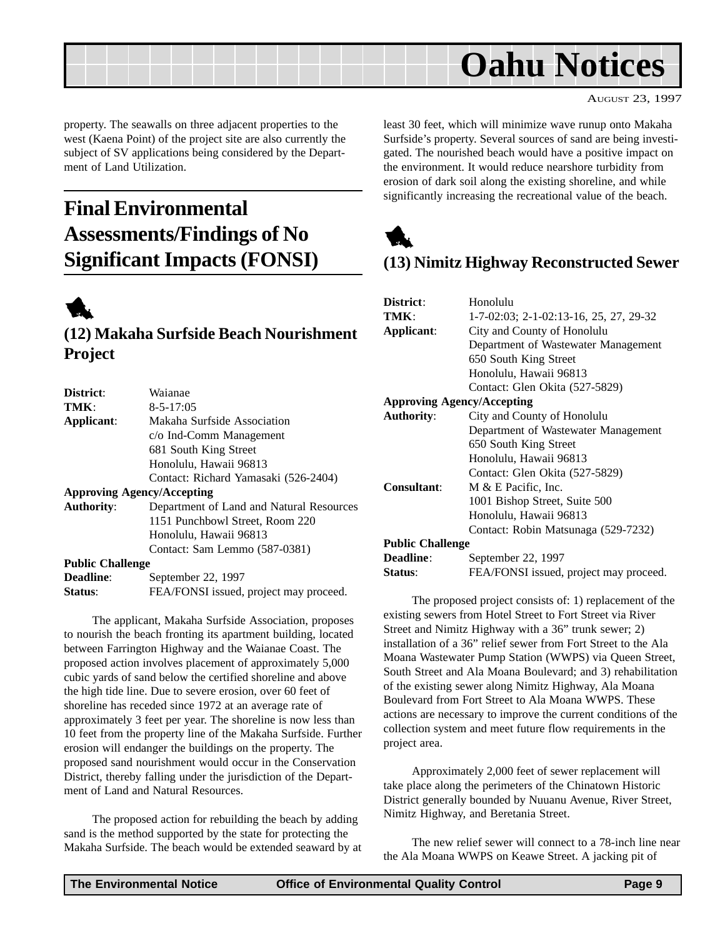<span id="page-8-0"></span>

AUGUST 23, 1997

property. The seawalls on three adjacent properties to the west (Kaena Point) of the project site are also currently the subject of SV applications being considered by the Department of Land Utilization.

# **Final Environmental Assessments/Findings of No Significant Impacts (FONSI)**



## **(12) Makaha Surfside Beach Nourishment Project**

| District:               | Waianae                                  |
|-------------------------|------------------------------------------|
| TMK:                    | $8 - 5 - 17:05$                          |
| Applicant:              | Makaha Surfside Association              |
|                         | c/o Ind-Comm Management                  |
|                         | 681 South King Street                    |
|                         | Honolulu, Hawaii 96813                   |
|                         | Contact: Richard Yamasaki (526-2404)     |
|                         | <b>Approving Agency/Accepting</b>        |
| <b>Authority:</b>       | Department of Land and Natural Resources |
|                         | 1151 Punchbowl Street, Room 220          |
|                         | Honolulu, Hawaii 96813                   |
|                         | Contact: Sam Lemmo (587-0381)            |
| <b>Public Challenge</b> |                                          |
| <b>Deadline:</b>        | September 22, 1997                       |

**Status:** FEA/FONSI issued, project may proceed.

The applicant, Makaha Surfside Association, proposes to nourish the beach fronting its apartment building, located between Farrington Highway and the Waianae Coast. The proposed action involves placement of approximately 5,000 cubic yards of sand below the certified shoreline and above the high tide line. Due to severe erosion, over 60 feet of shoreline has receded since 1972 at an average rate of approximately 3 feet per year. The shoreline is now less than 10 feet from the property line of the Makaha Surfside. Further erosion will endanger the buildings on the property. The proposed sand nourishment would occur in the Conservation District, thereby falling under the jurisdiction of the Department of Land and Natural Resources.

The proposed action for rebuilding the beach by adding sand is the method supported by the state for protecting the Makaha Surfside. The beach would be extended seaward by at least 30 feet, which will minimize wave runup onto Makaha Surfside's property. Several sources of sand are being investigated. The nourished beach would have a positive impact on the environment. It would reduce nearshore turbidity from erosion of dark soil along the existing shoreline, and while significantly increasing the recreational value of the beach.



## **(13) Nimitz Highway Reconstructed Sewer**

| District:                         | Honolulu                               |
|-----------------------------------|----------------------------------------|
| TMK:                              | 1-7-02:03; 2-1-02:13-16, 25, 27, 29-32 |
| Applicant:                        | City and County of Honolulu            |
|                                   | Department of Wastewater Management    |
|                                   | 650 South King Street                  |
|                                   | Honolulu, Hawaii 96813                 |
|                                   | Contact: Glen Okita (527-5829)         |
| <b>Approving Agency/Accepting</b> |                                        |
| <b>Authority:</b>                 | City and County of Honolulu            |
|                                   | Department of Wastewater Management    |
|                                   | 650 South King Street                  |
|                                   | Honolulu, Hawaii 96813                 |
|                                   | Contact: Glen Okita (527-5829)         |
| <b>Consultant:</b>                | $M \& E$ Pacific, Inc.                 |
|                                   | 1001 Bishop Street, Suite 500          |
|                                   | Honolulu, Hawaii 96813                 |
|                                   | Contact: Robin Matsunaga (529-7232)    |
| <b>Public Challenge</b>           |                                        |
| <b>Deadline:</b>                  | September 22, 1997                     |
| Status:                           | FEA/FONSI issued, project may proceed. |

The proposed project consists of: 1) replacement of the existing sewers from Hotel Street to Fort Street via River Street and Nimitz Highway with a 36" trunk sewer; 2) installation of a 36" relief sewer from Fort Street to the Ala Moana Wastewater Pump Station (WWPS) via Queen Street, South Street and Ala Moana Boulevard; and 3) rehabilitation of the existing sewer along Nimitz Highway, Ala Moana Boulevard from Fort Street to Ala Moana WWPS. These actions are necessary to improve the current conditions of the collection system and meet future flow requirements in the project area.

Approximately 2,000 feet of sewer replacement will take place along the perimeters of the Chinatown Historic District generally bounded by Nuuanu Avenue, River Street, Nimitz Highway, and Beretania Street.

The new relief sewer will connect to a 78-inch line near the Ala Moana WWPS on Keawe Street. A jacking pit of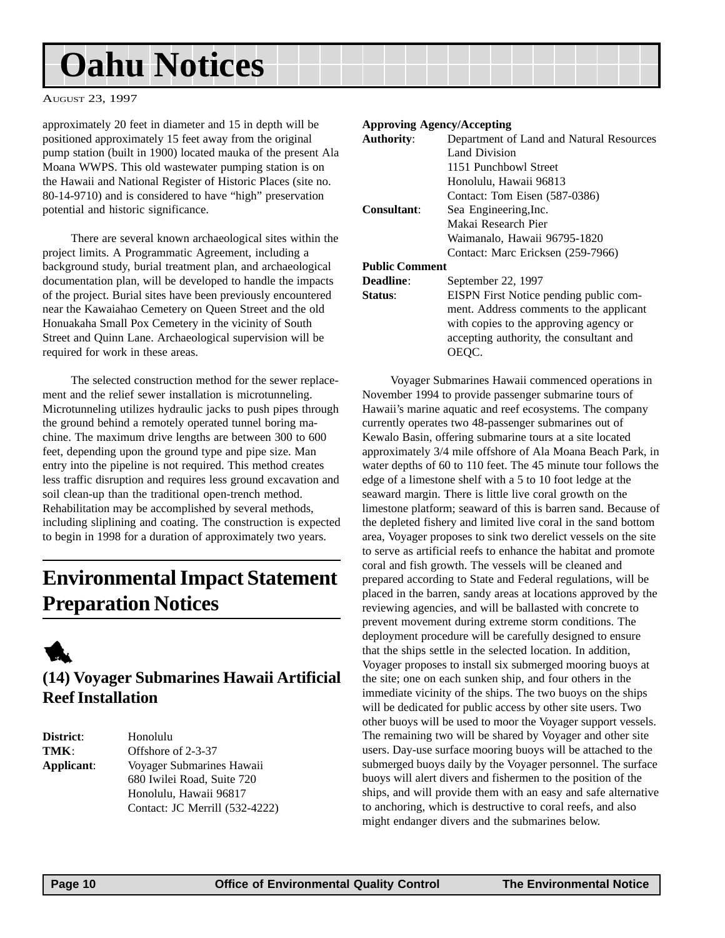<span id="page-9-0"></span>AUGUST 23, 1997

approximately 20 feet in diameter and 15 in depth will be positioned approximately 15 feet away from the original pump station (built in 1900) located mauka of the present Ala Moana WWPS. This old wastewater pumping station is on the Hawaii and National Register of Historic Places (site no. 80-14-9710) and is considered to have "high" preservation potential and historic significance.

There are several known archaeological sites within the project limits. A Programmatic Agreement, including a background study, burial treatment plan, and archaeological documentation plan, will be developed to handle the impacts of the project. Burial sites have been previously encountered near the Kawaiahao Cemetery on Queen Street and the old Honuakaha Small Pox Cemetery in the vicinity of South Street and Quinn Lane. Archaeological supervision will be required for work in these areas.

The selected construction method for the sewer replacement and the relief sewer installation is microtunneling. Microtunneling utilizes hydraulic jacks to push pipes through the ground behind a remotely operated tunnel boring machine. The maximum drive lengths are between 300 to 600 feet, depending upon the ground type and pipe size. Man entry into the pipeline is not required. This method creates less traffic disruption and requires less ground excavation and soil clean-up than the traditional open-trench method. Rehabilitation may be accomplished by several methods, including sliplining and coating. The construction is expected to begin in 1998 for a duration of approximately two years.

## **Environmental Impact Statement Preparation Notices**



## **(14) Voyager Submarines Hawaii Artificial Reef Installation**

**District**: Honolulu **TMK**: **Offshore of 2-3-37 Applicant**: Voyager Submarines Hawaii 680 Iwilei Road, Suite 720 Honolulu, Hawaii 96817 Contact: JC Merrill (532-4222)

#### **Approving Agency/Accepting**

| <b>Authority:</b>     | Department of Land and Natural Resources |
|-----------------------|------------------------------------------|
|                       | Land Division                            |
|                       | 1151 Punchbowl Street                    |
|                       | Honolulu, Hawaii 96813                   |
|                       | Contact: Tom Eisen (587-0386)            |
| Consultant:           | Sea Engineering, Inc.                    |
|                       | Makai Research Pier                      |
|                       | Waimanalo, Hawaii 96795-1820             |
|                       | Contact: Marc Ericksen (259-7966)        |
| <b>Public Comment</b> |                                          |
| <b>Deadline:</b>      | September 22, 1997                       |
| Status:               | EISPN First Notice pending public com-   |
|                       | ment. Address comments to the applicant  |
|                       | with copies to the approving agency or   |
|                       | accepting authority, the consultant and  |
|                       | OEOC.                                    |
|                       |                                          |

Voyager Submarines Hawaii commenced operations in November 1994 to provide passenger submarine tours of Hawaii's marine aquatic and reef ecosystems. The company currently operates two 48-passenger submarines out of Kewalo Basin, offering submarine tours at a site located approximately 3/4 mile offshore of Ala Moana Beach Park, in water depths of 60 to 110 feet. The 45 minute tour follows the edge of a limestone shelf with a 5 to 10 foot ledge at the seaward margin. There is little live coral growth on the limestone platform; seaward of this is barren sand. Because of the depleted fishery and limited live coral in the sand bottom area, Voyager proposes to sink two derelict vessels on the site to serve as artificial reefs to enhance the habitat and promote coral and fish growth. The vessels will be cleaned and prepared according to State and Federal regulations, will be placed in the barren, sandy areas at locations approved by the reviewing agencies, and will be ballasted with concrete to prevent movement during extreme storm conditions. The deployment procedure will be carefully designed to ensure that the ships settle in the selected location. In addition, Voyager proposes to install six submerged mooring buoys at the site; one on each sunken ship, and four others in the immediate vicinity of the ships. The two buoys on the ships will be dedicated for public access by other site users. Two other buoys will be used to moor the Voyager support vessels. The remaining two will be shared by Voyager and other site users. Day-use surface mooring buoys will be attached to the submerged buoys daily by the Voyager personnel. The surface buoys will alert divers and fishermen to the position of the ships, and will provide them with an easy and safe alternative to anchoring, which is destructive to coral reefs, and also might endanger divers and the submarines below.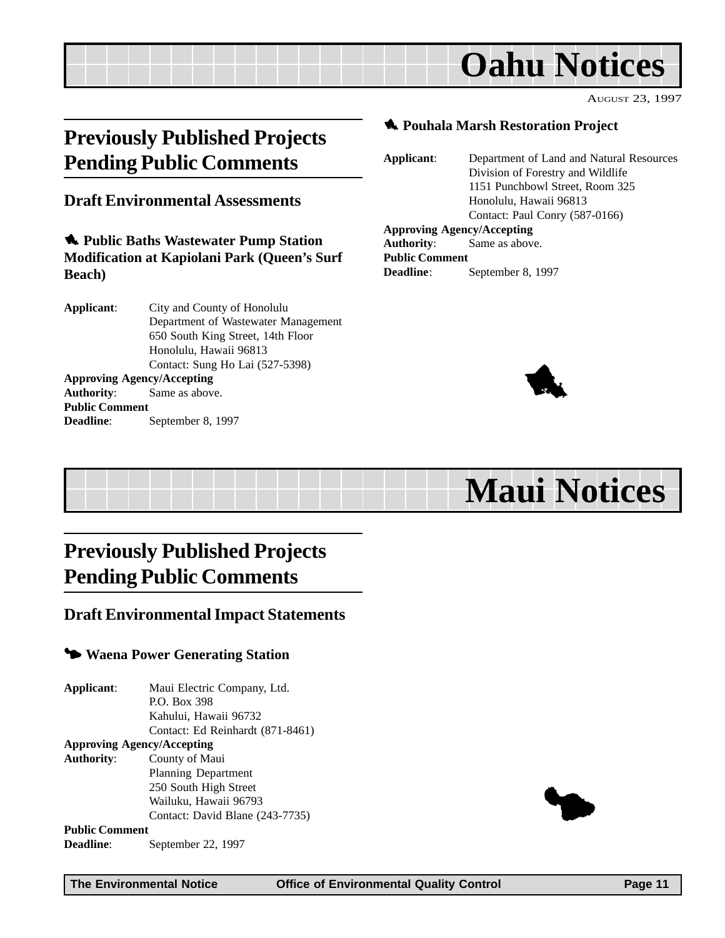AUGUST 23, 1997

# <span id="page-10-0"></span>**Previously Published Projects Pending Public Comments**

#### **Draft Environmental Assessments**

1 **Public Baths Wastewater Pump Station Modification at Kapiolani Park (Queen's Surf Beach)**

**Applicant**: City and County of Honolulu Department of Wastewater Management 650 South King Street, 14th Floor Honolulu, Hawaii 96813 Contact: Sung Ho Lai (527-5398) **Approving Agency/Accepting Authority**: Same as above. **Public Comment**

**Deadline**: September 8, 1997

#### 1 **Pouhala Marsh Restoration Project**

**Applicant**: Department of Land and Natural Resources Division of Forestry and Wildlife 1151 Punchbowl Street, Room 325 Honolulu, Hawaii 96813 Contact: Paul Conry (587-0166)

**Approving Agency/Accepting Authority**: Same as above. **Public Comment Deadline**: September 8, 1997



# **Maui Notices**

# **Previously Published Projects Pending Public Comments**

#### **Draft Environmental Impact Statements**

#### 3 **Waena Power Generating Station**

**Applicant**: Maui Electric Company, Ltd. P.O. Box 398 Kahului, Hawaii 96732 Contact: Ed Reinhardt (871-8461) **Approving Agency/Accepting Authority**: County of Maui Planning Department 250 South High Street Wailuku, Hawaii 96793 Contact: David Blane (243-7735) **Public Comment Deadline**: September 22, 1997

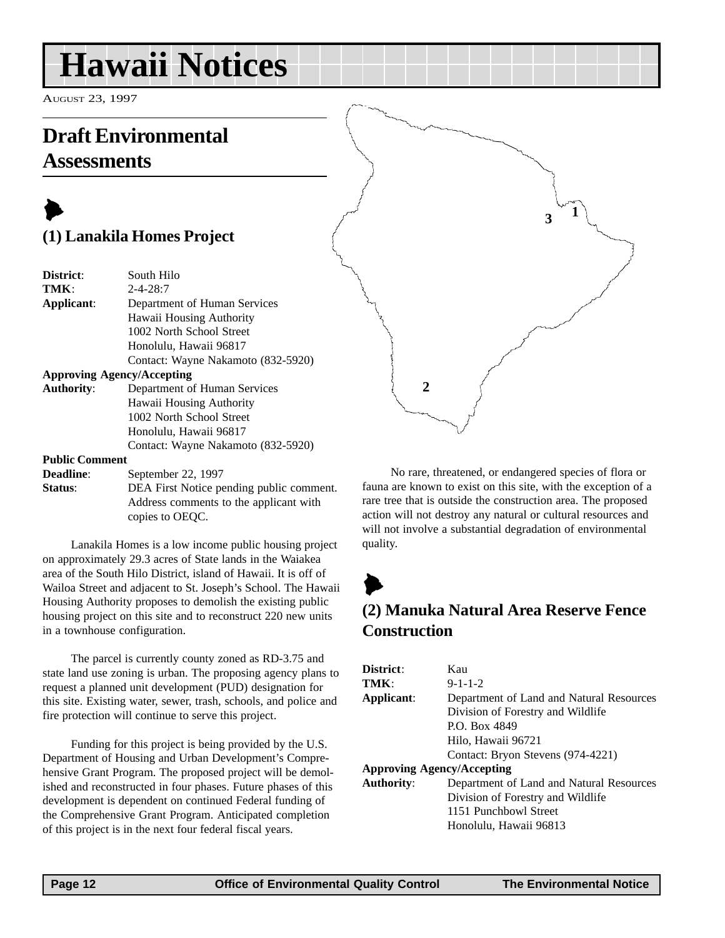# <span id="page-11-0"></span>**Hawaii Notices**

AUGUST 23, 1997

## **Draft Environmental Assessments**

## $\blacktriangleright$ **(1) Lanakila Homes Project**

| District:             | South Hilo                               |
|-----------------------|------------------------------------------|
| TMK:                  | $2 - 4 - 28.7$                           |
| Applicant:            | Department of Human Services             |
|                       | Hawaii Housing Authority                 |
|                       | 1002 North School Street                 |
|                       | Honolulu, Hawaii 96817                   |
|                       | Contact: Wayne Nakamoto (832-5920)       |
|                       | <b>Approving Agency/Accepting</b>        |
| <b>Authority:</b>     | Department of Human Services             |
|                       | Hawaii Housing Authority                 |
|                       | 1002 North School Street                 |
|                       | Honolulu, Hawaii 96817                   |
|                       | Contact: Wayne Nakamoto (832-5920)       |
| <b>Public Comment</b> |                                          |
| <b>Deadline:</b>      | September 22, 1997                       |
| <b>Status:</b>        | DEA First Notice pending public comment. |
|                       |                                          |

Lanakila Homes is a low income public housing project on approximately 29.3 acres of State lands in the Waiakea area of the South Hilo District, island of Hawaii. It is off of Wailoa Street and adjacent to St. Joseph's School. The Hawaii Housing Authority proposes to demolish the existing public housing project on this site and to reconstruct 220 new units in a townhouse configuration.

copies to OEQC.

Address comments to the applicant with

The parcel is currently county zoned as RD-3.75 and state land use zoning is urban. The proposing agency plans to request a planned unit development (PUD) designation for this site. Existing water, sewer, trash, schools, and police and fire protection will continue to serve this project.

Funding for this project is being provided by the U.S. Department of Housing and Urban Development's Comprehensive Grant Program. The proposed project will be demolished and reconstructed in four phases. Future phases of this development is dependent on continued Federal funding of the Comprehensive Grant Program. Anticipated completion of this project is in the next four federal fiscal years.



No rare, threatened, or endangered species of flora or fauna are known to exist on this site, with the exception of a rare tree that is outside the construction area. The proposed action will not destroy any natural or cultural resources and will not involve a substantial degradation of environmental quality.

## $\blacktriangleright$ **(2) Manuka Natural Area Reserve Fence Construction**

| District:                         | $K$ au                                   |
|-----------------------------------|------------------------------------------|
| TMK:                              | $9 - 1 - 1 - 2$                          |
| Applicant:                        | Department of Land and Natural Resources |
|                                   | Division of Forestry and Wildlife        |
|                                   | P.O. Box 4849                            |
|                                   | Hilo, Hawaii 96721                       |
|                                   | Contact: Bryon Stevens (974-4221)        |
| <b>Approving Agency/Accepting</b> |                                          |
| <b>Authority:</b>                 | Department of Land and Natural Resources |
|                                   | Division of Forestry and Wildlife        |
|                                   | 1151 Punchbowl Street                    |
|                                   | Honolulu, Hawaii 96813                   |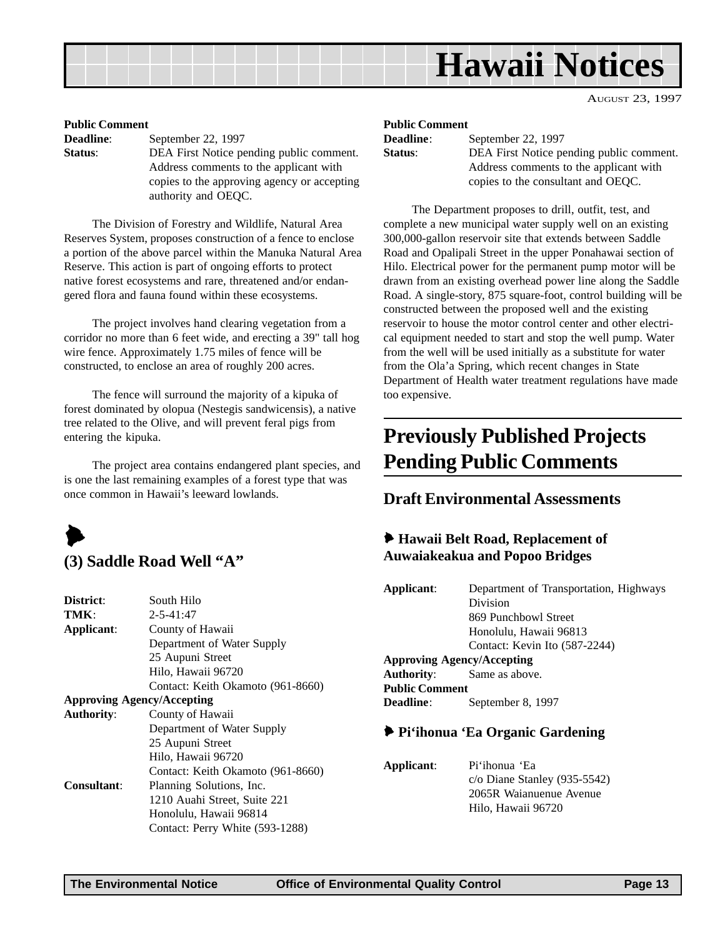<span id="page-12-0"></span>

AUGUST 23, 1997

## **Public Comment**

**Deadline:** September 22, 1997 **Status**: DEA First Notice pending public comment. Address comments to the applicant with copies to the approving agency or accepting authority and OEQC.

The Division of Forestry and Wildlife, Natural Area Reserves System, proposes construction of a fence to enclose a portion of the above parcel within the Manuka Natural Area Reserve. This action is part of ongoing efforts to protect native forest ecosystems and rare, threatened and/or endangered flora and fauna found within these ecosystems.

The project involves hand clearing vegetation from a corridor no more than 6 feet wide, and erecting a 39" tall hog wire fence. Approximately 1.75 miles of fence will be constructed, to enclose an area of roughly 200 acres.

The fence will surround the majority of a kipuka of forest dominated by olopua (Nestegis sandwicensis), a native tree related to the Olive, and will prevent feral pigs from entering the kipuka.

The project area contains endangered plant species, and is one the last remaining examples of a forest type that was once common in Hawaii's leeward lowlands.



#### **(3) Saddle Road Well "A"**

| District:                         | South Hilo                        |
|-----------------------------------|-----------------------------------|
| TMK:                              | $2 - 5 - 41:47$                   |
| Applicant:                        | County of Hawaii                  |
|                                   | Department of Water Supply        |
|                                   | 25 Aupuni Street                  |
|                                   | Hilo, Hawaii 96720                |
|                                   | Contact: Keith Okamoto (961-8660) |
| <b>Approving Agency/Accepting</b> |                                   |
| <b>Authority:</b>                 | County of Hawaii                  |
|                                   | Department of Water Supply        |
|                                   | 25 Aupuni Street                  |
|                                   | Hilo, Hawaii 96720                |
|                                   | Contact: Keith Okamoto (961-8660) |
| <b>Consultant:</b>                | Planning Solutions, Inc.          |
|                                   | 1210 Auahi Street, Suite 221      |
|                                   | Honolulu, Hawaii 96814            |
|                                   | Contact: Perry White (593-1288)   |

#### **Public Comment**

| <b>Deadline:</b> | September 22, 1997                       |
|------------------|------------------------------------------|
| Status:          | DEA First Notice pending public comment. |
|                  | Address comments to the applicant with   |
|                  | copies to the consultant and OEQC.       |

The Department proposes to drill, outfit, test, and complete a new municipal water supply well on an existing 300,000-gallon reservoir site that extends between Saddle Road and Opalipali Street in the upper Ponahawai section of Hilo. Electrical power for the permanent pump motor will be drawn from an existing overhead power line along the Saddle Road. A single-story, 875 square-foot, control building will be constructed between the proposed well and the existing reservoir to house the motor control center and other electrical equipment needed to start and stop the well pump. Water from the well will be used initially as a substitute for water from the Ola'a Spring, which recent changes in State Department of Health water treatment regulations have made too expensive.

## **Previously Published Projects Pending Public Comments**

#### **Draft Environmental Assessments**

#### 6 **Hawaii Belt Road, Replacement of Auwaiakeakua and Popoo Bridges**

| Applicant:                        | Department of Transportation, Highways |
|-----------------------------------|----------------------------------------|
|                                   | Division                               |
|                                   | 869 Punchbowl Street                   |
|                                   | Honolulu, Hawaii 96813                 |
|                                   | Contact: Kevin Ito (587-2244)          |
| <b>Approving Agency/Accepting</b> |                                        |
| <b>Authority:</b>                 | Same as above.                         |
| <b>Public Comment</b>             |                                        |
| Deadline:                         | September 8, 1997                      |
|                                   |                                        |

#### 6 **Pi'ihonua 'Ea Organic Gardening**

| Applicant: | Pi'ihonua 'Ea                   |
|------------|---------------------------------|
|            | $c$ /o Diane Stanley (935-5542) |
|            | 2065R Waianuenue Avenue         |
|            | Hilo, Hawaii 96720              |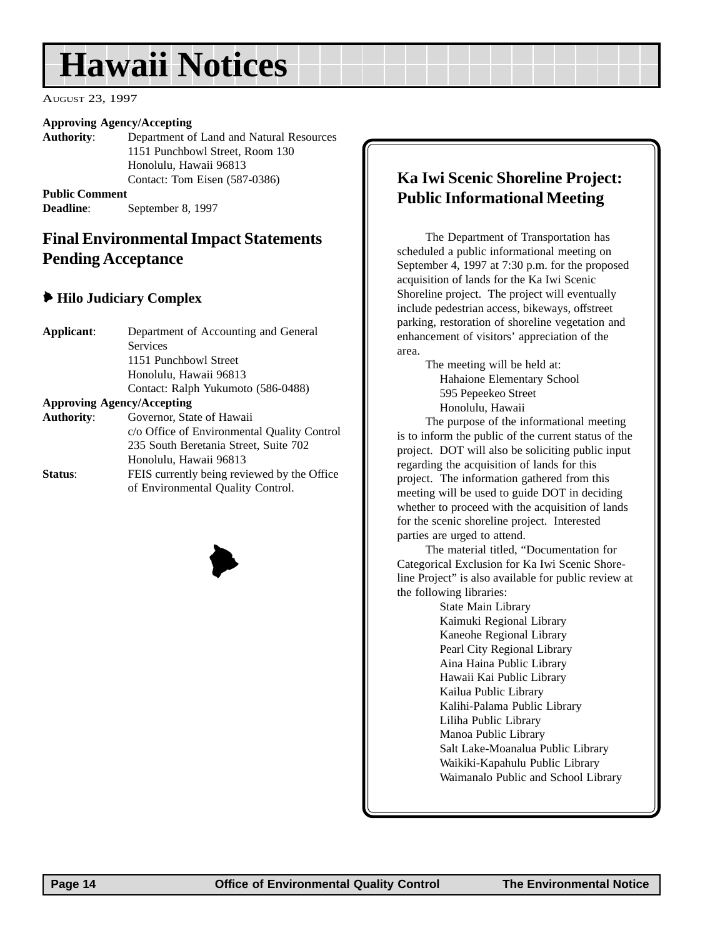# <span id="page-13-0"></span>**Hawaii Notices**

AUGUST 23, 1997

#### **Approving Agency/Accepting**

**Authority**: Department of Land and Natural Resources 1151 Punchbowl Street, Room 130 Honolulu, Hawaii 96813 Contact: Tom Eisen (587-0386)

**Public Comment Deadline**: September 8, 1997

#### **Final Environmental Impact Statements Pending Acceptance**

#### 6 **Hilo Judiciary Complex**

| Applicant:                        | Department of Accounting and General        |  |
|-----------------------------------|---------------------------------------------|--|
|                                   | Services                                    |  |
|                                   | 1151 Punchbowl Street                       |  |
|                                   | Honolulu, Hawaii 96813                      |  |
|                                   | Contact: Ralph Yukumoto (586-0488)          |  |
| <b>Approving Agency/Accepting</b> |                                             |  |
| <b>Authority:</b>                 | Governor, State of Hawaii                   |  |
|                                   | c/o Office of Environmental Quality Control |  |
|                                   | 235 South Beretania Street, Suite 702       |  |
|                                   | Honolulu, Hawaii 96813                      |  |
| Status:                           | FEIS currently being reviewed by the Office |  |
|                                   | of Environmental Quality Control.           |  |



#### **Ka Iwi Scenic Shoreline Project: Public Informational Meeting**

The Department of Transportation has scheduled a public informational meeting on September 4, 1997 at 7:30 p.m. for the proposed acquisition of lands for the Ka Iwi Scenic Shoreline project. The project will eventually include pedestrian access, bikeways, offstreet parking, restoration of shoreline vegetation and enhancement of visitors' appreciation of the area.

> The meeting will be held at: Hahaione Elementary School 595 Pepeekeo Street Honolulu, Hawaii

The purpose of the informational meeting is to inform the public of the current status of the project. DOT will also be soliciting public input regarding the acquisition of lands for this project. The information gathered from this meeting will be used to guide DOT in deciding whether to proceed with the acquisition of lands for the scenic shoreline project. Interested parties are urged to attend.

The material titled, "Documentation for Categorical Exclusion for Ka Iwi Scenic Shoreline Project" is also available for public review at the following libraries:

State Main Library Kaimuki Regional Library Kaneohe Regional Library Pearl City Regional Library Aina Haina Public Library Hawaii Kai Public Library Kailua Public Library Kalihi-Palama Public Library Liliha Public Library Manoa Public Library Salt Lake-Moanalua Public Library Waikiki-Kapahulu Public Library Waimanalo Public and School Library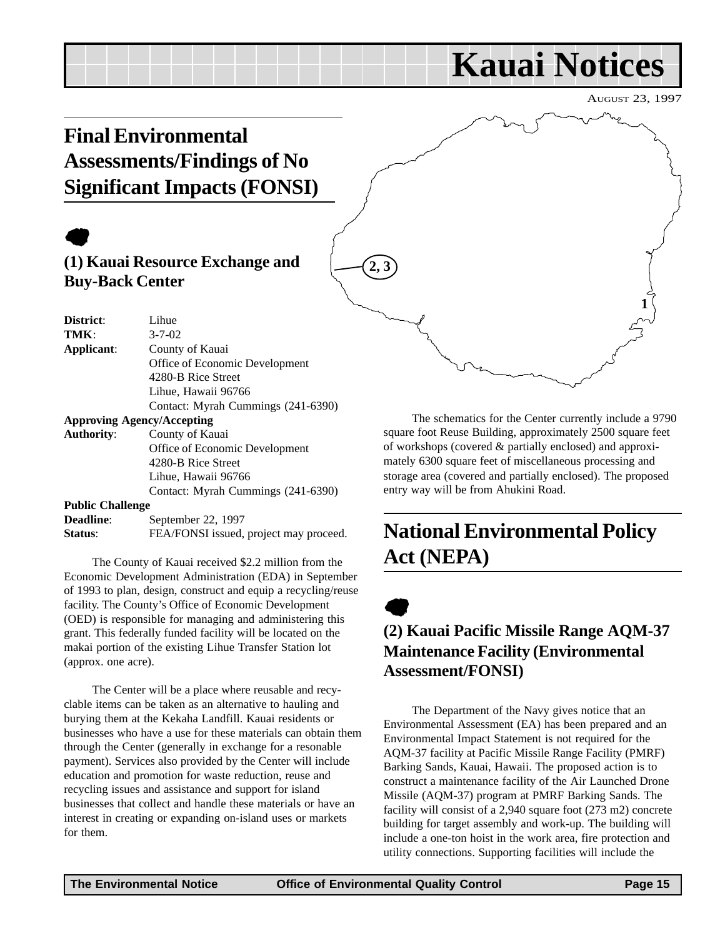# <span id="page-14-0"></span>AUGUST 23, 1997 **Kauai Notices 1 2, 3**

# **Final Environmental Assessments/Findings of No Significant Impacts (FONSI)**

# $\bullet$

### **(1) Kauai Resource Exchange and Buy-Back Center**

| District:                         | Lihue                              |
|-----------------------------------|------------------------------------|
| TMK:                              | $3 - 7 - 02$                       |
| Applicant:                        | County of Kauai                    |
|                                   | Office of Economic Development     |
|                                   | 4280-B Rice Street                 |
|                                   | Lihue, Hawaii 96766                |
|                                   | Contact: Myrah Cummings (241-6390) |
| <b>Approving Agency/Accepting</b> |                                    |
| <b>Authority:</b>                 | County of Kauai                    |
|                                   | Office of Economic Development     |
|                                   | 4280-B Rice Street                 |
|                                   | Lihue, Hawaii 96766                |
|                                   | Contact: Myrah Cummings (241-6390) |
|                                   |                                    |

#### **Public Challenge**

| <b>Deadline:</b> | September 22, 1997                     |
|------------------|----------------------------------------|
| <b>Status:</b>   | FEA/FONSI issued, project may proceed. |

The County of Kauai received \$2.2 million from the Economic Development Administration (EDA) in September of 1993 to plan, design, construct and equip a recycling/reuse facility. The County's Office of Economic Development (OED) is responsible for managing and administering this grant. This federally funded facility will be located on the makai portion of the existing Lihue Transfer Station lot (approx. one acre).

The Center will be a place where reusable and recyclable items can be taken as an alternative to hauling and burying them at the Kekaha Landfill. Kauai residents or businesses who have a use for these materials can obtain them through the Center (generally in exchange for a resonable payment). Services also provided by the Center will include education and promotion for waste reduction, reuse and recycling issues and assistance and support for island businesses that collect and handle these materials or have an interest in creating or expanding on-island uses or markets for them.

The schematics for the Center currently include a 9790 square foot Reuse Building, approximately 2500 square feet of workshops (covered & partially enclosed) and approximately 6300 square feet of miscellaneous processing and storage area (covered and partially enclosed). The proposed entry way will be from Ahukini Road.

# **National Environmental Policy Act (NEPA)**

## $\bullet$ **(2) Kauai Pacific Missile Range AQM-37 Maintenance Facility (Environmental Assessment/FONSI)**

The Department of the Navy gives notice that an Environmental Assessment (EA) has been prepared and an Environmental Impact Statement is not required for the AQM-37 facility at Pacific Missile Range Facility (PMRF) Barking Sands, Kauai, Hawaii. The proposed action is to construct a maintenance facility of the Air Launched Drone Missile (AQM-37) program at PMRF Barking Sands. The facility will consist of a 2,940 square foot (273 m2) concrete building for target assembly and work-up. The building will include a one-ton hoist in the work area, fire protection and utility connections. Supporting facilities will include the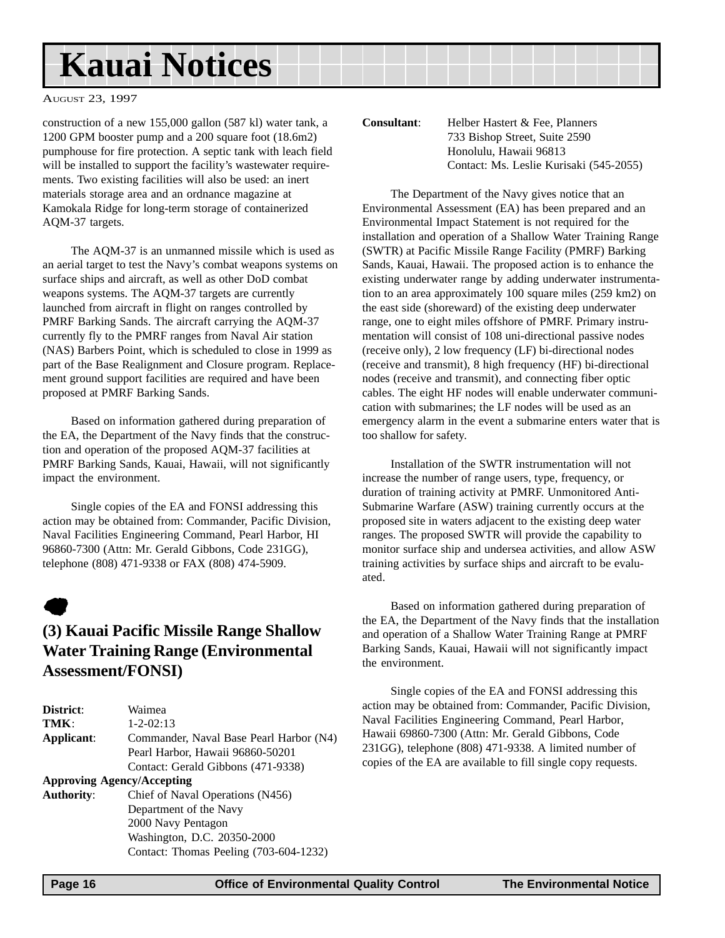# <span id="page-15-0"></span>**Kauai Notices**

AUGUST 23, 1997

construction of a new 155,000 gallon (587 kl) water tank, a 1200 GPM booster pump and a 200 square foot (18.6m2) pumphouse for fire protection. A septic tank with leach field will be installed to support the facility's wastewater requirements. Two existing facilities will also be used: an inert materials storage area and an ordnance magazine at Kamokala Ridge for long-term storage of containerized AQM-37 targets.

The AQM-37 is an unmanned missile which is used as an aerial target to test the Navy's combat weapons systems on surface ships and aircraft, as well as other DoD combat weapons systems. The AQM-37 targets are currently launched from aircraft in flight on ranges controlled by PMRF Barking Sands. The aircraft carrying the AQM-37 currently fly to the PMRF ranges from Naval Air station (NAS) Barbers Point, which is scheduled to close in 1999 as part of the Base Realignment and Closure program. Replacement ground support facilities are required and have been proposed at PMRF Barking Sands.

Based on information gathered during preparation of the EA, the Department of the Navy finds that the construction and operation of the proposed AQM-37 facilities at PMRF Barking Sands, Kauai, Hawaii, will not significantly impact the environment.

Single copies of the EA and FONSI addressing this action may be obtained from: Commander, Pacific Division, Naval Facilities Engineering Command, Pearl Harbor, HI 96860-7300 (Attn: Mr. Gerald Gibbons, Code 231GG), telephone (808) 471-9338 or FAX (808) 474-5909.

# $\bullet$

#### **(3) Kauai Pacific Missile Range Shallow Water Training Range (Environmental Assessment/FONSI)**

| District:         | Waimea                                  |
|-------------------|-----------------------------------------|
| TMK:              | $1 - 2 - 02:13$                         |
| Applicant:        | Commander, Naval Base Pearl Harbor (N4) |
|                   | Pearl Harbor, Hawaii 96860-50201        |
|                   | Contact: Gerald Gibbons (471-9338)      |
|                   | <b>Approving Agency/Accepting</b>       |
| <b>Authority:</b> | Chief of Naval Operations (N456)        |
|                   | Department of the Navy                  |
|                   | 2000 Navy Pentagon                      |
|                   | Washington, D.C. 20350-2000             |
|                   | Contact: Thomas Peeling (703-604-1232)  |

**Consultant**: Helber Hastert & Fee, Planners 733 Bishop Street, Suite 2590 Honolulu, Hawaii 96813 Contact: Ms. Leslie Kurisaki (545-2055)

The Department of the Navy gives notice that an Environmental Assessment (EA) has been prepared and an Environmental Impact Statement is not required for the installation and operation of a Shallow Water Training Range (SWTR) at Pacific Missile Range Facility (PMRF) Barking Sands, Kauai, Hawaii. The proposed action is to enhance the existing underwater range by adding underwater instrumentation to an area approximately 100 square miles (259 km2) on the east side (shoreward) of the existing deep underwater range, one to eight miles offshore of PMRF. Primary instrumentation will consist of 108 uni-directional passive nodes (receive only), 2 low frequency (LF) bi-directional nodes (receive and transmit), 8 high frequency (HF) bi-directional nodes (receive and transmit), and connecting fiber optic cables. The eight HF nodes will enable underwater communication with submarines; the LF nodes will be used as an emergency alarm in the event a submarine enters water that is too shallow for safety.

Installation of the SWTR instrumentation will not increase the number of range users, type, frequency, or duration of training activity at PMRF. Unmonitored Anti-Submarine Warfare (ASW) training currently occurs at the proposed site in waters adjacent to the existing deep water ranges. The proposed SWTR will provide the capability to monitor surface ship and undersea activities, and allow ASW training activities by surface ships and aircraft to be evaluated.

Based on information gathered during preparation of the EA, the Department of the Navy finds that the installation and operation of a Shallow Water Training Range at PMRF Barking Sands, Kauai, Hawaii will not significantly impact the environment.

Single copies of the EA and FONSI addressing this action may be obtained from: Commander, Pacific Division, Naval Facilities Engineering Command, Pearl Harbor, Hawaii 69860-7300 (Attn: Mr. Gerald Gibbons, Code 231GG), telephone (808) 471-9338. A limited number of copies of the EA are available to fill single copy requests.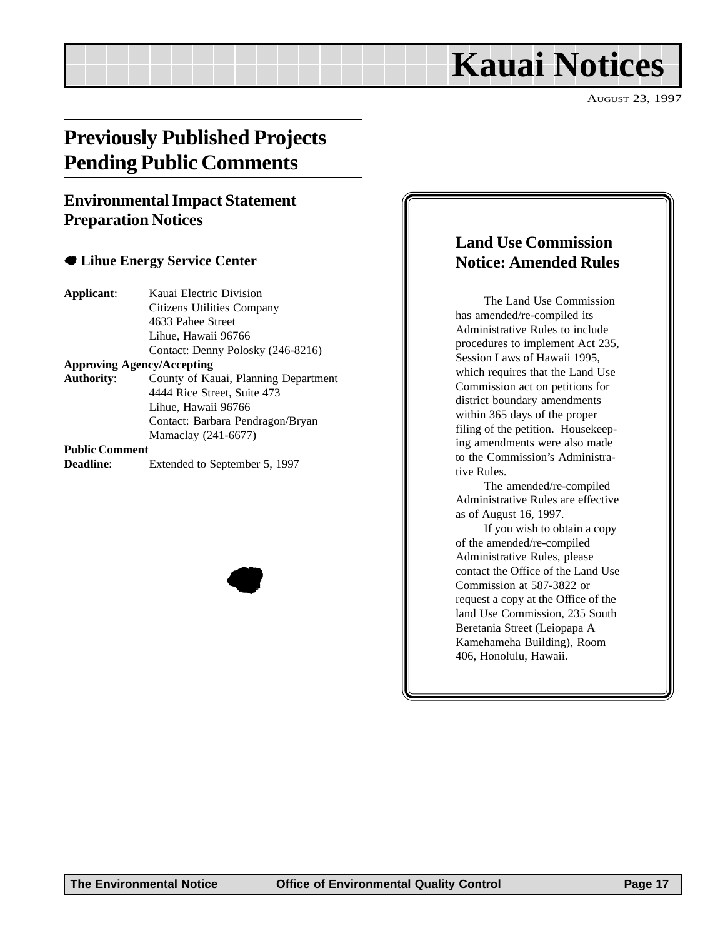# **Kauai Notices**

AUGUST 23, 1997

# <span id="page-16-0"></span>**Previously Published Projects Pending Public Comments**

#### **Environmental Impact Statement Preparation Notices**

|  |  |  | ● Lihue Energy Service Center |  |
|--|--|--|-------------------------------|--|
|--|--|--|-------------------------------|--|

**Applicant**: Kauai Electric Division Citizens Utilities Company 4633 Pahee Street Lihue, Hawaii 96766 Contact: Denny Polosky (246-8216) **Approving Agency/Accepting Authority**: County of Kauai, Planning Department 4444 Rice Street, Suite 473 Lihue, Hawaii 96766 Contact: Barbara Pendragon/Bryan Mamaclay (241-6677) **Public Comment Deadline**: Extended to September 5, 1997



#### **Land Use Commission Notice: Amended Rules**

The Land Use Commission has amended/re-compiled its Administrative Rules to include procedures to implement Act 235, Session Laws of Hawaii 1995, which requires that the Land Use Commission act on petitions for district boundary amendments within 365 days of the proper filing of the petition. Housekeeping amendments were also made to the Commission's Administrative Rules.

The amended/re-compiled Administrative Rules are effective as of August 16, 1997.

If you wish to obtain a copy of the amended/re-compiled Administrative Rules, please contact the Office of the Land Use Commission at 587-3822 or request a copy at the Office of the land Use Commission, 235 South Beretania Street (Leiopapa A Kamehameha Building), Room 406, Honolulu, Hawaii.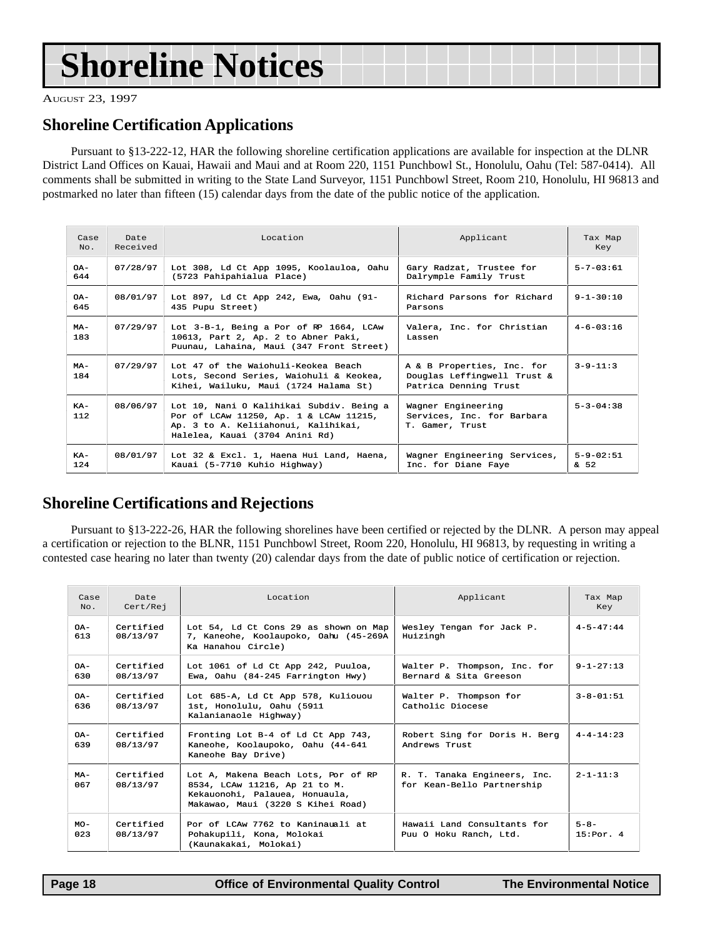# <span id="page-17-0"></span>**Shoreline Notices**

AUGUST 23, 1997

#### **Shoreline Certification Applications**

Pursuant to §13-222-12, HAR the following shoreline certification applications are available for inspection at the DLNR District Land Offices on Kauai, Hawaii and Maui and at Room 220, 1151 Punchbowl St., Honolulu, Oahu (Tel: 587-0414). All comments shall be submitted in writing to the State Land Surveyor, 1151 Punchbowl Street, Room 210, Honolulu, HI 96813 and postmarked no later than fifteen (15) calendar days from the date of the public notice of the application.

| Case<br>No.   | Date<br>Received | Location                                                                                                                                                    | Applicant                                                                          |                         |
|---------------|------------------|-------------------------------------------------------------------------------------------------------------------------------------------------------------|------------------------------------------------------------------------------------|-------------------------|
| OA-<br>644    | 07/28/97         | Lot 308, Ld Ct App 1095, Koolauloa, Oahu<br>(5723 Pahipahialua Place)                                                                                       | $5 - 7 - 03:61$<br>Gary Radzat, Trustee for<br>Dalrymple Family Trust              |                         |
| $OA -$<br>645 | 08/01/97         | Lot 897, Ld Ct App 242, Ewa, Oahu (91-<br>435 Pupu Street)                                                                                                  | Richard Parsons for Richard<br>Parsons                                             |                         |
| $MA -$<br>183 | 07/29/97         | Lot 3-B-1, Being a Por of RP 1664, LCAw<br>10613, Part 2, Ap. 2 to Abner Paki,<br>Puunau, Lahaina, Maui (347 Front Street)                                  | Valera, Inc. for Christian<br>Lassen                                               | $4 - 6 - 03 : 16$       |
| $MA -$<br>184 | 07/29/97         | Lot 47 of the Waiohuli-Keokea Beach<br>Lots, Second Series, Waiohuli & Keokea,<br>Kihei, Wailuku, Maui (1724 Halama St)                                     | A & B Properties, Inc. for<br>Douglas Leffingwell Trust &<br>Patrica Denning Trust | $3 - 9 - 11:3$          |
| $KA-$<br>112  | 08/06/97         | Lot 10, Nani O Kalihikai Subdiv. Being a<br>Por of LCAw 11250, Ap. 1 & LCAw 11215,<br>Ap. 3 to A. Keliiahonui, Kalihikai,<br>Halelea, Kauai (3704 Anini Rd) | Wagner Engineering<br>Services, Inc. for Barbara<br>T. Gamer, Trust                | $5 - 3 - 04:38$         |
| $KA-$<br>124  | 08/01/97         | Lot 32 & Excl. 1, Haena Hui Land, Haena,<br>Kauai (5-7710 Kuhio Highway)                                                                                    | Wagner Engineering Services,<br>Inc. for Diane Faye                                | $5 - 9 - 02:51$<br>& 52 |

#### **Shoreline Certifications and Rejections**

Pursuant to §13-222-26, HAR the following shorelines have been certified or rejected by the DLNR. A person may appeal a certification or rejection to the BLNR, 1151 Punchbowl Street, Room 220, Honolulu, HI 96813, by requesting in writing a contested case hearing no later than twenty (20) calendar days from the date of public notice of certification or rejection.

| Case<br>No.   | Date<br>Cert/Rej      | Location<br>Applicant                                                                                                                       |                                                            | Tax Map<br>Key         |
|---------------|-----------------------|---------------------------------------------------------------------------------------------------------------------------------------------|------------------------------------------------------------|------------------------|
| $OA -$<br>613 | Certified<br>08/13/97 | Lot 54, Ld Ct Cons 29 as shown on Map<br>7, Kaneohe, Koolaupoko, Oahu (45-269A<br>Ka Hanahou Circle)                                        | Weslev Tengan for Jack P.<br>Huizingh                      | $4 - 5 - 47:44$        |
| $OA -$<br>630 | Certified<br>08/13/97 | Lot 1061 of Ld Ct App 242, Puuloa,<br>Walter P. Thompson, Inc. for<br>Ewa, Oahu (84-245 Farrington Hwy)<br>Bernard & Sita Greeson           |                                                            | $9 - 1 - 27:13$        |
| $OA -$<br>636 | Certified<br>08/13/97 | Lot 685-A, Ld Ct App 578, Kuliouou<br>Walter P. Thompson for<br>1st. Honolulu. Oahu (5911<br>Catholic Diocese<br>Kalanianaole Highway)      |                                                            | $3 - 8 - 01:51$        |
| $OA -$<br>639 | Certified<br>08/13/97 | Fronting Lot B-4 of Ld Ct App 743,<br>Kaneohe, Koolaupoko, Oahu (44-641<br>Kaneohe Bay Drive)                                               | Robert Sing for Doris H. Berg<br>Andrews Trust             | $4 - 4 - 14:23$        |
| $MA -$<br>067 | Certified<br>08/13/97 | Lot A, Makena Beach Lots, Por of RP<br>8534, LCAw 11216, Ap 21 to M.<br>Kekauonohi, Palauea, Honuaula,<br>Makawao, Maui (3220 S Kihei Road) | R. T. Tanaka Engineers, Inc.<br>for Kean-Bello Partnership |                        |
| $MO-$<br>023  | Certified<br>08/13/97 | Por of LCAw 7762 to Kaninauali at<br>Pohakupili, Kona, Molokai<br>(Kaunakakai, Molokai)                                                     | Hawaii Land Consultants for<br>Puu O Hoku Ranch, Ltd.      | $5 - 8 -$<br>15:Por. 4 |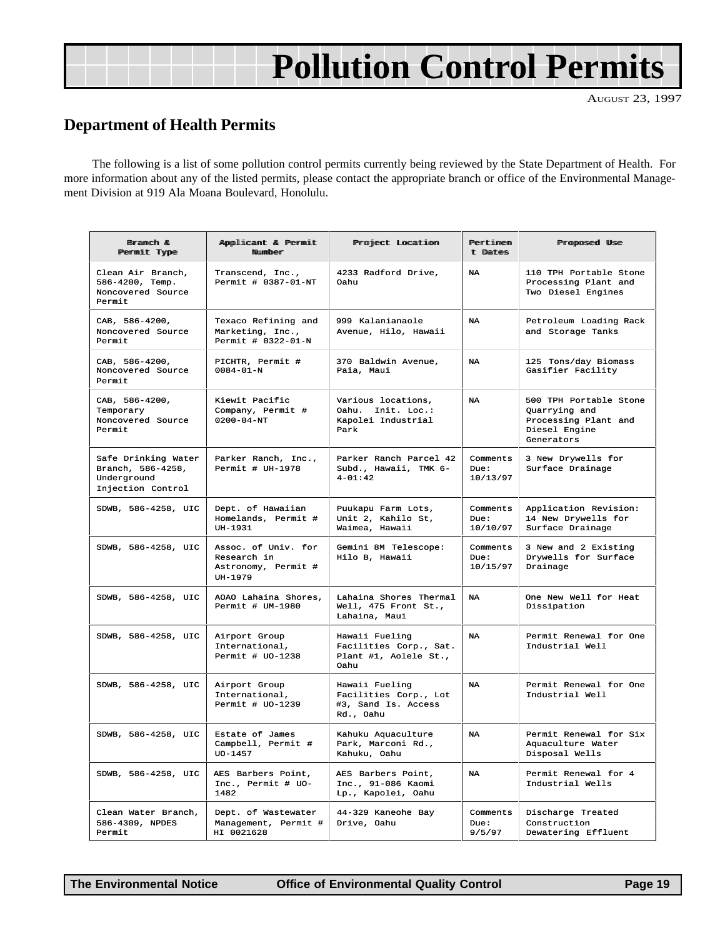# **Pollution Control Permits**

#### <span id="page-18-0"></span>**Department of Health Permits**

The following is a list of some pollution control permits currently being reviewed by the State Department of Health. For more information about any of the listed permits, please contact the appropriate branch or office of the Environmental Management Division at 919 Ala Moana Boulevard, Honolulu.

| Branch &<br>Permit Type                                                      | Applicant & Permit<br>Number                                         | Project Location                                                            | Pertimem<br>t Dates          | Proposed Use                                                                                   |
|------------------------------------------------------------------------------|----------------------------------------------------------------------|-----------------------------------------------------------------------------|------------------------------|------------------------------------------------------------------------------------------------|
| Clean Air Branch,<br>586-4200, Temp.<br>Noncovered Source<br>Permit          | Transcend, Inc.,<br>Permit # 0387-01-NT                              | 4233 Radford Drive,<br>Oahu                                                 | <b>NA</b>                    | 110 TPH Portable Stone<br>Processing Plant and<br>Two Diesel Engines                           |
| CAB, 586-4200,<br>Noncovered Source<br>Permit                                | Texaco Refining and<br>Marketing, Inc.,<br>Permit # 0322-01-N        | 999 Kalanianaole<br>Avenue, Hilo, Hawaii                                    | $_{\rm NA}$                  | Petroleum Loading Rack<br>and Storage Tanks                                                    |
| CAB, 586-4200,<br>Noncovered Source<br>Permit                                | PICHTR, Permit #<br>$0084 - 01 - N$                                  | 370 Baldwin Avenue,<br>Paia, Maui                                           | NA                           | 125 Tons/day Biomass<br>Gasifier Facility                                                      |
| CAB, 586-4200,<br>Temporary<br>Noncovered Source<br>Permit                   | Kiewit Pacific<br>Company, Permit #<br>$0200 - 04 - NT$              | Various locations,<br>Oahu.<br>Init. Loc.:<br>Kapolei Industrial<br>Park    | NA                           | 500 TPH Portable Stone<br>Quarrying and<br>Processing Plant and<br>Diesel Engine<br>Generators |
| Safe Drinking Water<br>Branch, 586-4258,<br>Underground<br>Injection Control | Parker Ranch, Inc.,<br>Permit # UH-1978                              | Parker Ranch Parcel 42<br>Subd., Hawaii, TMK 6-<br>$4 - 01 : 42$            | Comments<br>Due:<br>10/13/97 | 3 New Drywells for<br>Surface Drainage                                                         |
| SDWB, 586-4258, UIC                                                          | Dept. of Hawaiian<br>Homelands, Permit #<br>UH-1931                  | Puukapu Farm Lots,<br>Unit 2, Kahilo St,<br>Waimea, Hawaii                  | Comments<br>Due:<br>10/10/97 | Application Revision:<br>14 New Drywells for<br>Surface Drainage                               |
| SDWB, 586-4258, UIC                                                          | Assoc. of Univ. for<br>Research in<br>Astronomy, Permit #<br>UH-1979 | Gemini 8M Telescope:<br>Hilo B, Hawaii                                      | Comments<br>Due:<br>10/15/97 | 3 New and 2 Existing<br>Drywells for Surface<br>Drainage                                       |
| SDWB, 586-4258, UIC                                                          | AOAO Lahaina Shores,<br>Permit # UM-1980                             | Lahaina Shores Thermal<br>Well, 475 Front St.,<br>Lahaina, Maui             | <b>NA</b>                    | One New Well for Heat<br>Dissipation                                                           |
| SDWB, 586-4258, UIC                                                          | Airport Group<br>International,<br>Permit # UO-1238                  | Hawaii Fueling<br>Facilities Corp., Sat.<br>Plant #1, Aolele St.,<br>Oahu   | <b>NA</b>                    | Permit Renewal for One<br>Industrial Well                                                      |
| SDWB, 586-4258, UIC                                                          | Airport Group<br>International,<br>Permit # $UO-1239$                | Hawaii Fueling<br>Facilities Corp., Lot<br>#3, Sand Is. Access<br>Rd., Oahu | <b>NA</b>                    | Permit Renewal for One<br>Industrial Well                                                      |
| SDWB, 586-4258, UIC                                                          | Estate of James<br>Campbell, Permit #<br>$UO-1457$                   | Kahuku Aquaculture<br>Park, Marconi Rd.,<br>Kahuku, Oahu                    | <b>NA</b>                    | Permit Renewal for Six<br>Aquaculture Water<br>Disposal Wells                                  |
| SDWB, 586-4258, UIC                                                          | AES Barbers Point,<br>Inc., Permit # UO-<br>1482                     | AES Barbers Point,<br>Inc., 91-086 Kaomi<br>Lp., Kapolei, Oahu              | NA                           | Permit Renewal for 4<br>Industrial Wells                                                       |
| Clean Water Branch,<br>586-4309, NPDES<br>Permit                             | Dept. of Wastewater<br>Management, Permit #<br>HI 0021628            | 44-329 Kaneohe Bay<br>Drive, Oahu                                           | Comments<br>Due:<br>9/5/97   | Discharge Treated<br>Construction<br>Dewatering Effluent                                       |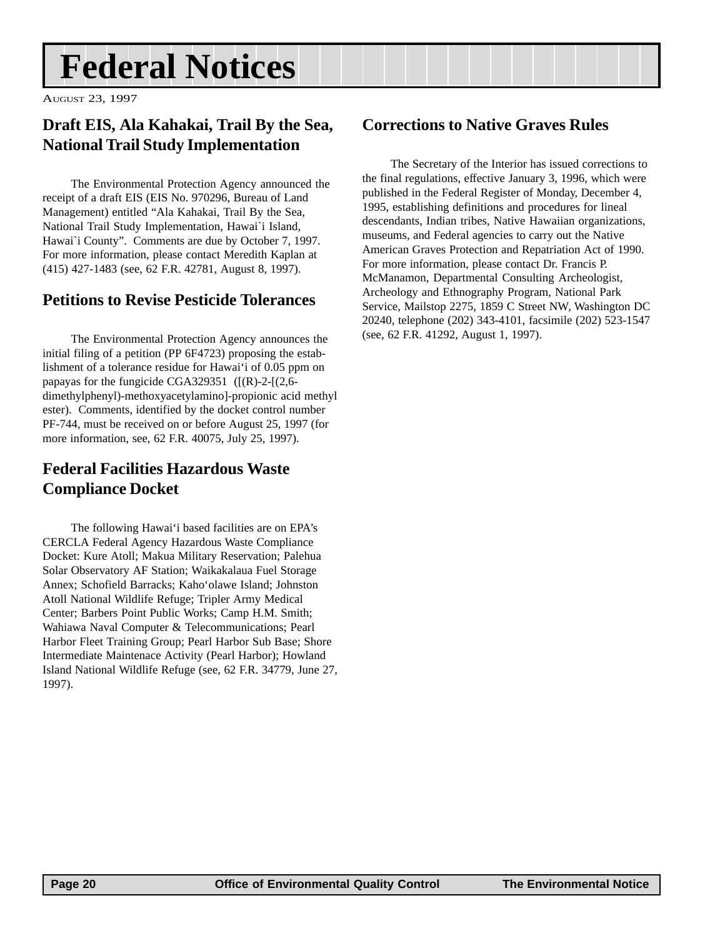# <span id="page-19-0"></span>**Federal Notices**

AUGUST 23, 1997

### **Draft EIS, Ala Kahakai, Trail By the Sea, National Trail Study Implementation**

The Environmental Protection Agency announced the receipt of a draft EIS (EIS No. 970296, Bureau of Land Management) entitled "Ala Kahakai, Trail By the Sea, National Trail Study Implementation, Hawai`i Island, Hawai`i County". Comments are due by October 7, 1997. For more information, please contact Meredith Kaplan at (415) 427-1483 (see, 62 F.R. 42781, August 8, 1997).

#### **Petitions to Revise Pesticide Tolerances**

The Environmental Protection Agency announces the initial filing of a petition (PP 6F4723) proposing the establishment of a tolerance residue for Hawai'i of 0.05 ppm on papayas for the fungicide CGA329351 ( $[(R)-2-[2,6-1]$ dimethylphenyl)-methoxyacetylamino]-propionic acid methyl ester). Comments, identified by the docket control number PF-744, must be received on or before August 25, 1997 (for more information, see, 62 F.R. 40075, July 25, 1997).

#### **Federal Facilities Hazardous Waste Compliance Docket**

The following Hawai'i based facilities are on EPA's CERCLA Federal Agency Hazardous Waste Compliance Docket: Kure Atoll; Makua Military Reservation; Palehua Solar Observatory AF Station; Waikakalaua Fuel Storage Annex; Schofield Barracks; Kaho'olawe Island; Johnston Atoll National Wildlife Refuge; Tripler Army Medical Center; Barbers Point Public Works; Camp H.M. Smith; Wahiawa Naval Computer & Telecommunications; Pearl Harbor Fleet Training Group; Pearl Harbor Sub Base; Shore Intermediate Maintenace Activity (Pearl Harbor); Howland Island National Wildlife Refuge (see, 62 F.R. 34779, June 27, 1997).

#### **Corrections to Native Graves Rules**

The Secretary of the Interior has issued corrections to the final regulations, effective January 3, 1996, which were published in the Federal Register of Monday, December 4, 1995, establishing definitions and procedures for lineal descendants, Indian tribes, Native Hawaiian organizations, museums, and Federal agencies to carry out the Native American Graves Protection and Repatriation Act of 1990. For more information, please contact Dr. Francis P. McManamon, Departmental Consulting Archeologist, Archeology and Ethnography Program, National Park Service, Mailstop 2275, 1859 C Street NW, Washington DC 20240, telephone (202) 343-4101, facsimile (202) 523-1547 (see, 62 F.R. 41292, August 1, 1997).